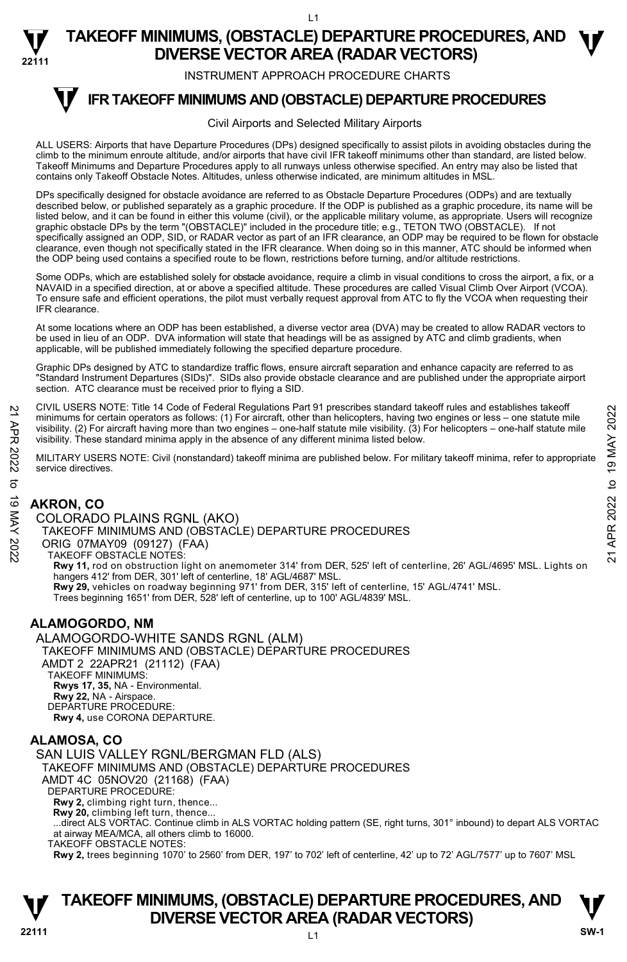L1

**TAKEOFF MINIMUMS, (OBSTACLE) DEPARTURE PROCEDURES, AND <br>
ON/EDSE VECTOR AREA (BADAR) VECTORS) DIVERSE VECTOR AREA (RADAR VECTORS)** 

INSTRUMENT APPROACH PROCEDURE CHARTS

#### **IFR TAKEOFF MINIMUMS AND (OBSTACLE) DEPARTURE PROCEDURES T**

#### Civil Airports and Selected Military Airports

ALL USERS: Airports that have Departure Procedures (DPs) designed specifically to assist pilots in avoiding obstacles during the climb to the minimum enroute altitude, and/or airports that have civil IFR takeoff minimums other than standard, are listed below. Takeoff Minimums and Departure Procedures apply to all runways unless otherwise specified. An entry may also be listed that contains only Takeoff Obstacle Notes. Altitudes, unless otherwise indicated, are minimum altitudes in MSL.

DPs specifically designed for obstacle avoidance are referred to as Obstacle Departure Procedures (ODPs) and are textually described below, or published separately as a graphic procedure. If the ODP is published as a graphic procedure, its name will be listed below, and it can be found in either this volume (civil), or the applicable military volume, as appropriate. Users will recognize graphic obstacle DPs by the term "(OBSTACLE)" included in the procedure title; e.g., TETON TWO (OBSTACLE). If not specifically assigned an ODP, SID, or RADAR vector as part of an IFR clearance, an ODP may be required to be flown for obstacle clearance, even though not specifically stated in the IFR clearance. When doing so in this manner, ATC should be informed when the ODP being used contains a specified route to be flown, restrictions before turning, and/or altitude restrictions.

Some ODPs, which are established solely for obstacle avoidance, require a climb in visual conditions to cross the airport, a fix, or a NAVAID in a specified direction, at or above a specified altitude. These procedures are called Visual Climb Over Airport (VCOA). To ensure safe and efficient operations, the pilot must verbally request approval from ATC to fly the VCOA when requesting their IFR clearance.

At some locations where an ODP has been established, a diverse vector area (DVA) may be created to allow RADAR vectors to be used in lieu of an ODP. DVA information will state that headings will be as assigned by ATC and climb gradients, when applicable, will be published immediately following the specified departure procedure.

Graphic DPs designed by ATC to standardize traffic flows, ensure aircraft separation and enhance capacity are referred to as "Standard Instrument Departures (SIDs)". SIDs also provide obstacle clearance and are published under the appropriate airport section. ATC clearance must be received prior to flying a SID.

CIVIL USERS NOTE: Title 14 Code of Federal Regulations Part 91 prescribes standard takeoff rules and establishes takeoff minimums for certain operators as follows: (1) For aircraft, other than helicopters, having two engines or less – one statute mile visibility. (2) For aircraft having more than two engines – one-half statute mile visibility. (3) For helicopters – one-half statute mile visibility. These standard minima apply in the absence of any different minima listed below.

MILITARY USERS NOTE: Civil (nonstandard) takeoff minima are published below. For military takeoff minima, refer to appropriate service directives.

# **AKRON, CO**

**22111** 

COLORADO PLAINS RGNL (AKO) TAKEOFF MINIMUMS AND (OBSTACLE) DEPARTURE PROCEDURES ORIG 07MAY09 (09127) (FAA) TAKEOFF OBSTACLE NOTES: **Rwy 11,** rod on obstruction light on anemometer 314' from DER, 525' left of centerline, 26' AGL/4695' MSL. Lights on hangers 412' from DER, 301' left of centerline, 18' AGL/4687' MSL. **Rwy 29,** vehicles on roadway beginning 971' from DER, 315' left of centerline, 15' AGL/4741' MSL. Trees beginning 1651' from DER, 528' left of centerline, up to 100' AGL/4839' MSL. 21 CIVIL USERS NOTE: Thire 14 Code or Federal regulations Part 91 prescinces standard takeoff minima is for certain operators as follows: (1) For aircraft, due than helicopters, having two engines or less – one-half stat

# **ALAMOGORDO, NM**

ALAMOGORDO-WHITE SANDS RGNL (ALM) TAKEOFF MINIMUMS AND (OBSTACLE) DEPARTURE PROCEDURES AMDT 2 22APR21 (21112) (FAA) TAKEOFF MINIMUMS: **Rwys 17, 35,** NA - Environmental. **Rwy 22,** NA - Airspace. DEPARTURE PROCEDURE: **Rwy 4,** use CORONA DEPARTURE.

## **ALAMOSA, CO**

SAN LUIS VALLEY RGNL/BERGMAN FLD (ALS) TAKEOFF MINIMUMS AND (OBSTACLE) DEPARTURE PROCEDURES AMDT 4C 05NOV20 (21168) (FAA) DEPARTURE PROCEDURE: **Rwy 2,** climbing right turn, thence... **Rwy 20,** climbing left turn, thence... ...direct ALS VORTAC. Continue climb in ALS VORTAC holding pattern (SE, right turns, 301° inbound) to depart ALS VORTAC at airway MEA/MCA, all others climb to 16000. TAKEOFF OBSTACLE NOTES:

**Rwy 2,** trees beginning 1070' to 2560' from DER, 197' to 702' left of centerline, 42' up to 72' AGL/7577' up to 7607' MSL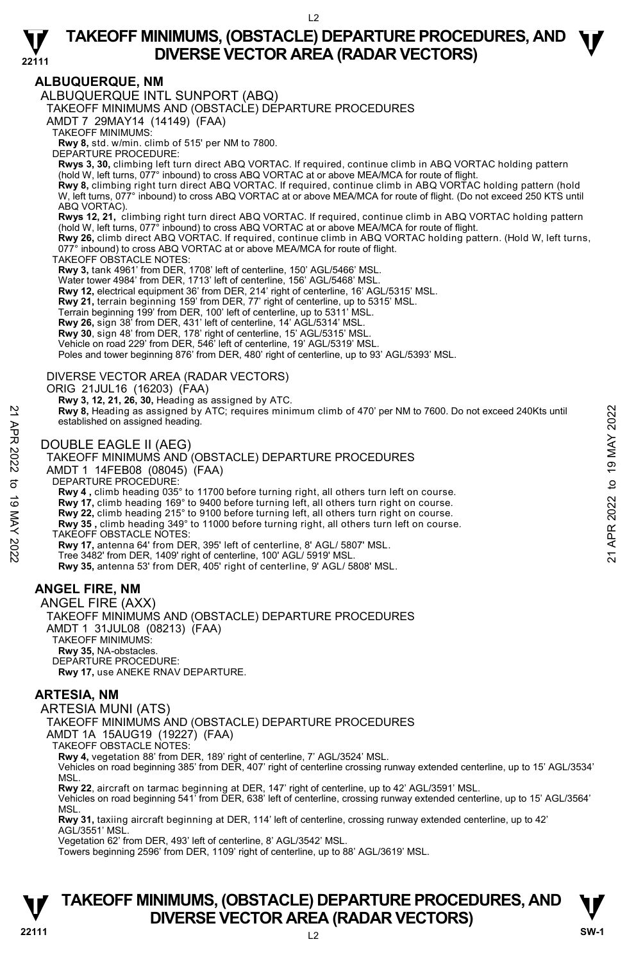

# **ALBUQUERQUE, NM**

ALBUQUERQUE INTL SUNPORT (ABQ)

TAKEOFF MINIMUMS AND (OBSTACLE) DEPARTURE PROCEDURES

AMDT 7 29MAY14 (14149) (FAA)

TAKEOFF MINIMUMS:

**Rwy 8,** std. w/min. climb of 515' per NM to 7800.

DEPARTURE PROCEDURE:

**Rwys 3, 30,** climbing left turn direct ABQ VORTAC. If required, continue climb in ABQ VORTAC holding pattern (hold W, left turns, 077° inbound) to cross ABQ VORTAC at or above MEA/MCA for route of flight.

**Rwy 8,** climbing right turn direct ABQ VORTAC. If required, continue climb in ABQ VORTAC holding pattern (hold<br>W, left turns, 077° inbound) to cross ABQ VORTAC at or above MEA/MCA for route of flight. (Do not exceed 250 K ABQ VORTAC).

**Rwys 12, 21,** climbing right turn direct ABQ VORTAC. If required, continue climb in ABQ VORTAC holding pattern<br>(hold W, left turns, 077° inbound) to cross ABQ VORTAC at or above MEA/MCA for route of flight.

**Rwy 26,** climb direct ABQ VORTAC. If required, continue climb in ABQ VORTAC holding pattern. (Hold W, left turns, 077° inbound) to cross ABQ VORTAC at or above MEA/MCA for route of flight.

TAKEOFF OBSTACLE NOTES:

**Rwy 3,** tank 4961' from DER, 1708' left of centerline, 150' AGL/5466' MSL.

Water tower 4984' from DER, 1713' left of centerline, 156' AGL/5468' MSL.

**Rwy 12,** electrical equipment 36' from DER, 214' right of centerline, 16' AGL/5315' MSL. **Rwy 21,** terrain beginning 159' from DER, 77' right of centerline, up to 5315' MSL.

Terrain beginning 199' from DER, 100' left of centerline, up to 5311' MSL.

**Rwy 26,** sign 38' from DER, 431' left of centerline, 14' AGL/5314' MSL. **Rwy 30**, sign 48' from DER, 178' right of centerline, 15' AGL/5315' MSL.

Vehicle on road 229' from DER, 546' left of centerline, 19' AGL/5319' MSL. Poles and tower beginning 876' from DER, 480' right of centerline, up to 93' AGL/5393' MSL.

DIVERSE VECTOR AREA (RADAR VECTORS)

ORIG 21JUL16 (16203) (FAA)

 **Rwy 3, 12, 21, 26, 30,** Heading as assigned by ATC.  **Rwy 8,** Heading as assigned by ATC; requires minimum climb of 470' per NM to 7600. Do not exceed 240Kts until established on assigned heading. **EXECUTE SET AND ASSESS AND ACT CONSTACTS** THE SUPPOSE THE SUPPOSED ON A SERVER AND CONDUBLE EAGLE II (AEG)<br>
21 DOUBLE EAGLE II (AEG)<br>
22 DOUBLE EAGLE II (AEG)<br>
22 TAKEOFF MINIMUMS AND (OBSTACLE) DEPARTURE PROCEDURES<br>
23

DOUBLE EAGLE II (AEG)

#### TAKEOFF MINIMUMS AND (OBSTACLE) DEPARTURE PROCEDURES

AMDT 1 14FEB08 (08045) (FAA)

DEPARTURE PROCEDURE:

**Rwy 4 ,** climb heading 035° to 11700 before turning right, all others turn left on course.

**Rwy 17,** climb heading 169° to 9400 before turning left, all others turn right on course. **Rwy 22,** climb heading 215° to 9100 before turning left, all others turn right on course.

**Rwy 35 ,** climb heading 349° to 11000 before turning right, all others turn left on course.

TAKEOFF OBSTACLE NOTES:

**Rwy 17,** antenna 64' from DER, 395' left of centerline, 8' AGL/ 5807' MSL.

Tree 3482' from DER, 1409' right of centerline, 100' AGL/ 5919' MSL.

**Rwy 35,** antenna 53' from DER, 405' right of centerline, 9' AGL/ 5808' MSL.

# **ANGEL FIRE, NM**

ANGEL FIRE (AXX) TAKEOFF MINIMUMS AND (OBSTACLE) DEPARTURE PROCEDURES AMDT 1 31JUL08 (08213) (FAA) TAKEOFF MINIMUMS: **Rwy 35,** NA-obstacles. DEPARTURE PROCEDURE: **Rwy 17,** use ANEKE RNAV DEPARTURE.

## **ARTESIA, NM**

ARTESIA MUNI (ATS)

TAKEOFF MINIMUMS AND (OBSTACLE) DEPARTURE PROCEDURES

AMDT 1A 15AUG19 (19227) (FAA)

TAKEOFF OBSTACLE NOTES:

**Rwy 4,** vegetation 88' from DER, 189' right of centerline, 7' AGL/3524' MSL.

Vehicles on road beginning 385' from DER, 407' right of centerline crossing runway extended centerline, up to 15' AGL/3534' **MSL** 

**Rwy 22**, aircraft on tarmac beginning at DER, 147' right of centerline, up to 42' AGL/3591' MSL.<br>Vehicles on road beginning 541' from DER, 638' left of centerline, crossing runway extended centerline, up to 15' AGL/3564' MSL.

**Rwy 31,** taxiing aircraft beginning at DER, 114' left of centerline, crossing runway extended centerline, up to 42' AGL/3551' MSL.

Vegetation 62' from DER, 493' left of centerline, 8' AGL/3542' MSL.

Towers beginning 2596' from DER, 1109' right of centerline, up to 88' AGL/3619' MSL.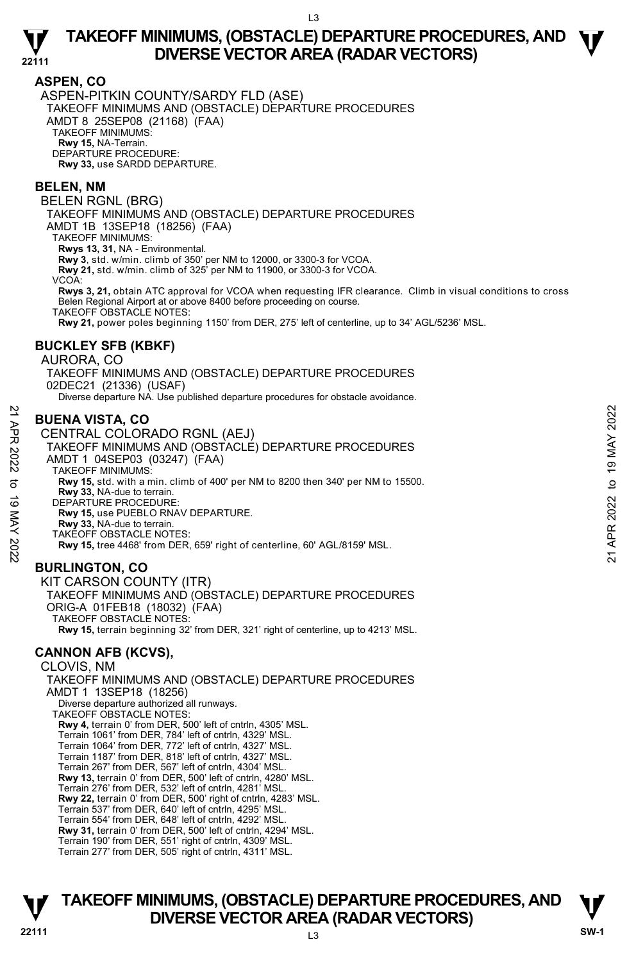### **ASPEN, CO**

**22111** 

ASPEN-PITKIN COUNTY/SARDY FLD (ASE) TAKEOFF MINIMUMS AND (OBSTACLE) DEPARTURE PROCEDURES AMDT 8 25SEP08 (21168) (FAA) TAKEOFF MINIMUMS: **Rwy 15,** NA-Terrain. DEPARTURE PROCEDURE: **Rwy 33,** use SARDD DEPARTURE.

#### **BELEN, NM**

BELEN RGNL (BRG)

TAKEOFF MINIMUMS AND (OBSTACLE) DEPARTURE PROCEDURES

AMDT 1B 13SEP18 (18256) (FAA)

TAKEOFF MINIMUMS:

**Rwys 13, 31,** NA - Environmental.

**Rwy 3**, std. w/min. climb of 350' per NM to 12000, or 3300-3 for VCOA.

**Rwy 21,** std. w/min. climb of 325' per NM to 11900, or 3300-3 for VCOA.

VCOA:

**Rwys 3, 21,** obtain ATC approval for VCOA when requesting IFR clearance. Climb in visual conditions to cross Belen Regional Airport at or above 8400 before proceeding on course.

TAKEOFF OBSTACLE NOTES:

**Rwy 21,** power poles beginning 1150' from DER, 275' left of centerline, up to 34' AGL/5236' MSL.

### **BUCKLEY SFB (KBKF)**

#### AURORA, CO

TAKEOFF MINIMUMS AND (OBSTACLE) DEPARTURE PROCEDURES 02DEC21 (21336) (USAF) Diverse departure NA. Use published departure procedures for obstacle avoidance.

## **BUENA VISTA, CO**

CENTRAL COLORADO RGNL (AEJ) TAKEOFF MINIMUMS AND (OBSTACLE) DEPARTURE PROCEDURES AMDT 1 04SEP03 (03247) (FAA) TAKEOFF MINIMUMS: **Rwy 15,** std. with a min. climb of 400' per NM to 8200 then 340' per NM to 15500. **Rwy 33,** NA-due to terrain. DEPARTURE PROCEDURE: **Rwy 15,** use PUEBLO RNAV DEPARTURE. **Rwy 33,** NA-due to terrain. TAKEOFF OBSTACLE NOTES: **Rwy 15,** tree 4468' from DER, 659' right of centerline, 60' AGL/8159' MSL. **BURLINGTON, CO**  KIT CARSON COUNTY (ITR) 21<br> **21 BUENA VISTA, CO**<br>
CENTRAL COLORADO RGNL (AEJ)<br>
TAKEOFF MINIMUMS AND (OBSTACLE) DEPARTURE PROCEDURES<br>
AMDT 1 04SEP03 (03247) (FAA)<br>
TAKEOFF MINIMUMS:<br>
TAKEOFF MINIMUMS:<br>
TAKEOFF MINIMUMS:<br>
S<br> **22 Rwy 15**, ste PUEBL

TAKEOFF MINIMUMS AND (OBSTACLE) DEPARTURE PROCEDURES ORIG-A 01FEB18 (18032) (FAA) TAKEOFF OBSTACLE NOTES: **Rwy 15,** terrain beginning 32' from DER, 321' right of centerline, up to 4213' MSL.

# **CANNON AFB (KCVS),**

CLOVIS, NM TAKEOFF MINIMUMS AND (OBSTACLE) DEPARTURE PROCEDURES AMDT 1 13SEP18 (18256) Diverse departure authorized all runways. TAKEOFF OBSTACLE NOTES: **Rwy 4,** terrain 0' from DER, 500' left of cntrln, 4305' MSL. Terrain 1061' from DER, 784' left of cntrln, 4329' MSL. Terrain 1064' from DER, 772' left of cntrln, 4327' MSL. Terrain 1187' from DER, 818' left of cntrln, 4327' MSL. Terrain 267' from DER, 567' left of cntrln, 4304' MSL. **Rwy 13,** terrain 0' from DER, 500' left of cntrln, 4280' MSL. Terrain 276' from DER, 532' left of cntrln, 4281' MSL. **Rwy 22,** terrain 0' from DER, 500' right of cntrln, 4283' MSL. Terrain 537' from DER, 640' left of cntrln, 4295' MSL. Terrain 554' from DER, 648' left of cntrln, 4292' MSL. **Rwy 31,** terrain 0' from DER, 500' left of cntrln, 4294' MSL. Terrain 190' from DER, 551' right of cntrln, 4309' MSL. Terrain 277' from DER, 505' right of cntrln, 4311' MSL.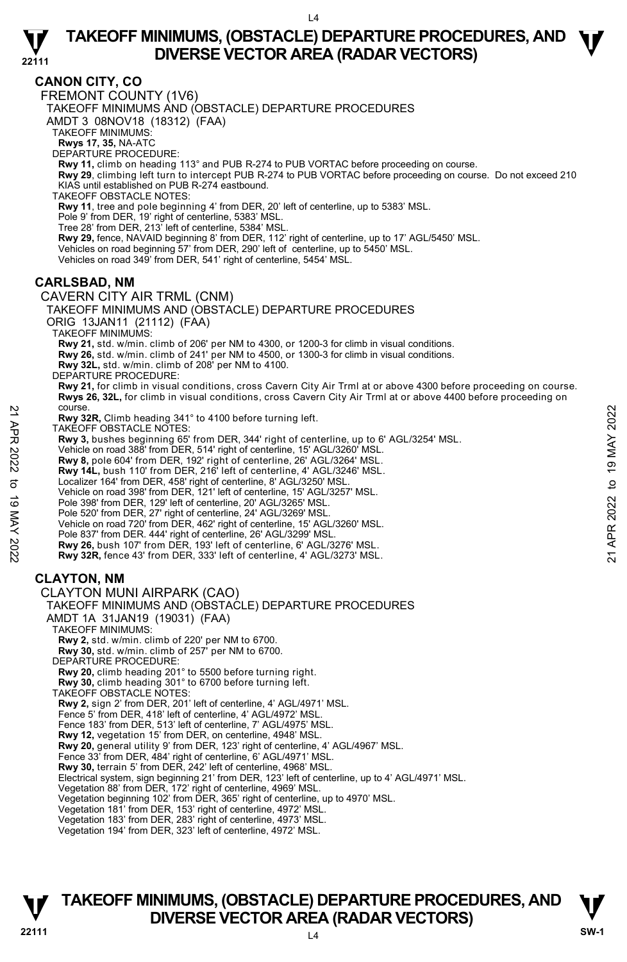

# **CANON CITY, CO**

**22111** 

FREMONT COUNTY (1V6)

TAKEOFF MINIMUMS AND (OBSTACLE) DEPARTURE PROCEDURES

AMDT 3 08NOV18 (18312) (FAA)

TAKEOFF MINIMUMS:

**Rwys 17, 35,** NA-ATC DEPARTURE PROCEDURE:

**Rwy 11,** climb on heading 113° and PUB R-274 to PUB VORTAC before proceeding on course.

**Rwy 29**, climbing left turn to intercept PUB R-274 to PUB VORTAC before proceeding on course. Do not exceed 210 KIAS until established on PUB R-274 eastbound.

TAKEOFF OBSTACLE NOTES:

**Rwy 11**, tree and pole beginning 4' from DER, 20' left of centerline, up to 5383' MSL.

Pole 9' from DER, 19' right of centerline, 5383' MSL. Tree 28' from DER, 213' left of centerline, 5384' MSL.

**Rwy 29,** fence, NAVAID beginning 8' from DER, 112' right of centerline, up to 17' AGL/5450' MSL.

Vehicles on road beginning 57' from DER, 290' left of centerline, up to 5450' MSL. Vehicles on road 349' from DER, 541' right of centerline, 5454' MSL.

### **CARLSBAD, NM**

CAVERN CITY AIR TRML (CNM) TAKEOFF MINIMUMS AND (OBSTACLE) DEPARTURE PROCEDURES ORIG 13JAN11 (21112) (FAA) TAKEOFF MINIMUMS: **Rwy 21,** std. w/min. climb of 206' per NM to 4300, or 1200-3 for climb in visual conditions. **Rwy 26,** std. w/min. climb of 241' per NM to 4500, or 1300-3 for climb in visual conditions. **Rwy 32L,** std. w/min. climb of 208' per NM to 4100. DEPARTURE PROCEDURE: **Rwy 21,** for climb in visual conditions, cross Cavern City Air Trml at or above 4300 before proceeding on course. **Rwys 26, 32L,** for climb in visual conditions, cross Cavern City Air Trml at or above 4400 before proceeding on course. **Rwy 32R,** Climb heading 341° to 4100 before turning left. TAKEOFF OBSTACLE NOTES: **Rwy 3,** bushes beginning 65' from DER, 344' right of centerline, up to 6' AGL/3254' MSL. Vehicle on road 388' from DER, 514' right of centerline, 15' AGL/3260' MSL. **Rwy 8,** pole 604' from DER, 192' right of centerline, 26' AGL/3264' MSL. **Rwy 14L,** bush 110' from DER, 216' left of centerline, 4' AGL/3246' MSL. Localizer 164' from DER, 458' right of centerline, 8' AGL/3250' MSL. Vehicle on road 398' from DER, 121' left of centerline, 15' AGL/3257' MSL. Pole 398' from DER, 129' left of centerline, 20' AGL/3265' MSL. Pole 520' from DER, 27' right of centerline, 24' AGL/3269' MSL. Vehicle on road 720' from DER, 462' right of centerline, 15' AGL/3260' MSL. Pole 837' from DER. 444' right of centerline, 26' AGL/3299' MSL. **Rwy 26,** bush 107' from DER, 193' left of centerline, 6' AGL/3276' MSL. **Rwy 32R,** fence 43' from DER, 333' left of centerline, 4' AGL/3273' MSL. **CLAYTON, NM**  CLAYTON MUNI AIRPARK (CAO) TAKEOFF MINIMUMS AND (OBSTACLE) DEPARTURE PROCEDURES AMDT 1A 31JAN19 (19031) (FAA) TAKEOFF MINIMUMS: **Rwy 2,** std. w/min. climb of 220' per NM to 6700. **Rwy 30,** std. w/min. climb of 257' per NM to 6700. DEPARTURE PROCEDURE: **Rwy 20,** climb heading 201° to 5500 before turning right. **Rwy 30,** climb heading 301° to 6700 before turning left. TAKEOFF OBSTACLE NOTES: **Rwy 2,** sign 2' from DER, 201' left of centerline, 4' AGL/4971' MSL. Fence 5' from DER, 418' left of centerline, 4' AGL/4972' MSL. Fence 183' from DER, 513' left of centerline, 7' AGL/4975' MSL. **Rwy 12,** vegetation 15' from DER, on centerline, 4948' MSL. Provides a State in the saling 341° to 4100 before turning left.<br>
TAKEOFF OBSTACLE NOTES:<br>
TAKEOFF OBSTACLE NOTES:<br>
Revy 3, bushes beginning 65' from DER, 344' right of centerline, up to 6' AGL/3254' MSL.<br>
Yehicle on road

**Rwy 20,** general utility 9' from DER, 123' right of centerline, 4' AGL/4967' MSL.

Fence 33' from DER, 484' right of centerline, 6' AGL/4971' MSL. **Rwy 30,** terrain 5' from DER, 242' left of centerline, 4968' MSL.

Electrical system, sign beginning 21' from DER, 123' left of centerline, up to 4' AGL/4971' MSL.

Vegetation 88' from DER, 172' right of centerline, 4969' MSL. Vegetation beginning 102' from DER, 365' right of centerline, up to 4970' MSL.

Vegetation 181' from DER, 153' right of centerline, 4972' MSL. Vegetation 183' from DER, 283' right of centerline, 4973' MSL.

Vegetation 194' from DER, 323' left of centerline, 4972' MSL.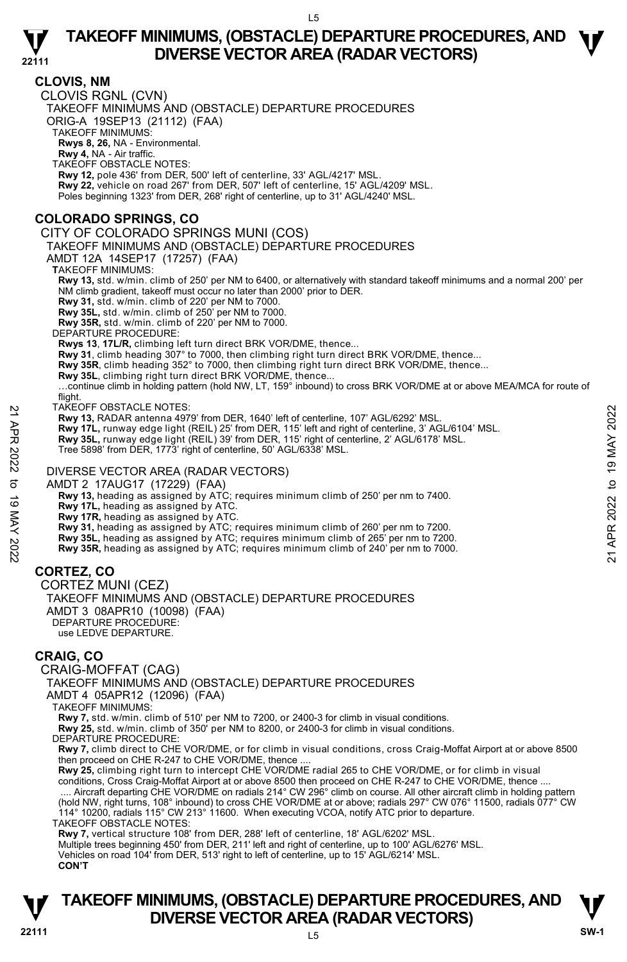#### **22111 CLOVIS, NM**  CLOVIS RGNL (CVN) TAKEOFF MINIMUMS AND (OBSTACLE) DEPARTURE PROCEDURES ORIG-A 19SEP13 (21112) (FAA) TAKEOFF MINIMUMS: **Rwys 8, 26,** NA - Environmental. **Rwy 4,** NA - Air traffic. TAKEOFF OBSTACLE NOTES: **Rwy 12,** pole 436' from DER, 500' left of centerline, 33' AGL/4217' MSL. **Rwy 22,** vehicle on road 267' from DER, 507' left of centerline, 15' AGL/4209' MSL. Poles beginning 1323' from DER, 268' right of centerline, up to 31' AGL/4240' MSL. **COLORADO SPRINGS, CO**  CITY OF COLORADO SPRINGS MUNI (COS) TAKEOFF MINIMUMS AND (OBSTACLE) DEPARTURE PROCEDURES AMDT 12A 14SEP17 (17257) (FAA) **T**AKEOFF MINIMUMS: **Rwy 13,** std. w/min. climb of 250' per NM to 6400, or alternatively with standard takeoff minimums and a normal 200' per NM climb gradient, takeoff must occur no later than 2000' prior to DER. **Rwy 31,** std. w/min. climb of 220' per NM to 7000. **Rwy 35L,** std. w/min. climb of 250' per NM to 7000. **Rwy 35R,** std. w/min. climb of 220' per NM to 7000. DEPARTURE PROCEDURE: **Rwys 13**, **17L/R,** climbing left turn direct BRK VOR/DME, thence... **Rwy 31**, climb heading 307° to 7000, then climbing right turn direct BRK VOR/DME, thence... **Rwy 35R**, climb heading 352° to 7000, then climbing right turn direct BRK VOR/DME, thence... **Rwy 35L**, climbing right turn direct BRK VOR/DME, thence... …continue climb in holding pattern (hold NW, LT, 159° inbound) to cross BRK VOR/DME at or above MEA/MCA for route of flight. TAKEOFF OBSTACLE NOTES: **Rwy 13,** RADAR antenna 4979' from DER, 1640' left of centerline, 107' AGL/6292' MSL. **Rwy 17L,** runway edge light (REIL) 25' from DER, 115' left and right of centerline, 3' AGL/6104' MSL.<br>**Rwy 35L,** runway edge light (REIL) 39' from DER, 115' right of centerline, 2' AGL/6178' MSL. Tree 5898' from DER, 1773' right of centerline, 50' AGL/6338' MSL. DIVERSE VECTOR AREA (RADAR VECTORS) AMDT 2 17AUG17 (17229) (FAA)  **Rwy 13,** heading as assigned by ATC; requires minimum climb of 250' per nm to 7400. **Rwy 17L,** heading as assigned by ATC. **Rwy 17R,** heading as assigned by ATC. **Rwy 31,** heading as assigned by ATC; requires minimum climb of 260' per nm to 7200. **Rwy 35L,** heading as assigned by ATC; requires minimum climb of 265' per nm to 7200. **Rwy 35R,** heading as assigned by ATC; requires minimum climb of 240' per nm to 7000. **CORTEZ, CO**  CORTEZ MUNI (CEZ) TAKEOFF MINIMUMS AND (OBSTACLE) DEPARTURE PROCEDURES AMDT 3 08APR10 (10098) (FAA) DEPARTURE PROCEDURE: use LEDVE DEPARTURE. **CRAIG, CO**  CRAIG-MOFFAT (CAG) TAKEOFF MINIMUMS AND (OBSTACLE) DEPARTURE PROCEDURES AMDT 4 05APR12 (12096) (FAA) TAKEOFF MINIMUMS: **Rwy 7,** std. w/min. climb of 510' per NM to 7200, or 2400-3 for climb in visual conditions. **Rwy 25,** std. w/min. climb of 350' per NM to 8200, or 2400-3 for climb in visual conditions. DEPARTURE PROCEDURE: **Rwy 7,** climb direct to CHE VOR/DME, or for climb in visual conditions, cross Craig-Moffat Airport at or above 8500 then proceed on CHE R-247 to CHE VOR/DME, thence .... **Rwy 25,** climbing right turn to intercept CHE VOR/DME radial 265 to CHE VOR/DME, or for climb in visual 22 IAKEOFF OBSTACLE NOTES:<br>
21 ARW 13, RADAR antenna 4979' from DER, 1640' left of centerline, 107' AGL/6292' MSL.<br> **21 Rwy 131.** runway edge light (REIL) 25' from DER, 115' left and right of centerline, 3' AGL/6104' MSL.

conditions, Cross Craig-Moffat Airport at or above 8500 then proceed on CHE R-247 to CHE VOR/DME, thence ....

 .... Aircraft departing CHE VOR/DME on radials 214° CW 296° climb on course. All other aircraft climb in holding pattern (hold NW, right turns, 108° inbound) to cross CHE VOR/DME at or above; radials 297° CW 076° 11500, radials 077° CW

114° 10200, radials 115° CW 213° 11600. When executing VCOA, notify ATC prior to departure.

TAKEOFF OBSTACLE NOTES:

**Rwy 7,** vertical structure 108' from DER, 288' left of centerline, 18' AGL/6202' MSL.<br>Multiple trees beginning 450' from DER, 211' left and right of centerline, up to 100' AGL/6276' MSL.

Vehicles on road 104' from DER, 513' right to left of centerline, up to 15' AGL/6214' MSL.

**CON'T**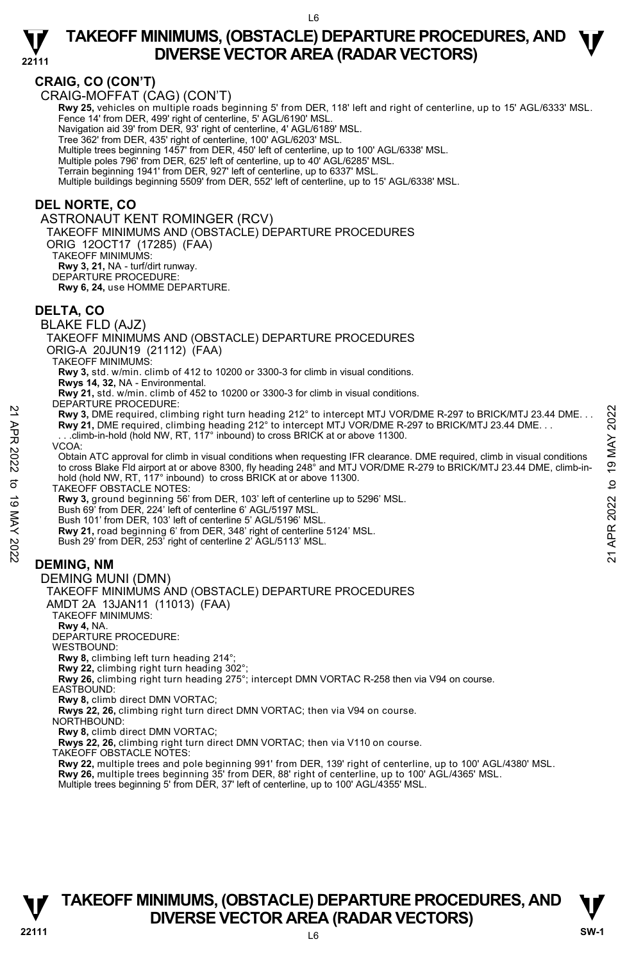

# **CRAIG, CO (CON'T)**

CRAIG-MOFFAT (CAG) (CON'T)

**Rwy 25,** vehicles on multiple roads beginning 5' from DER, 118' left and right of centerline, up to 15' AGL/6333' MSL.<br>Fence 14' from DER, 499' right of centerline, 5' AGL/6190' MSL.

Navigation aid 39' from DER, 93' right of centerline, 4' AGL/6189' MSL.

Tree 362' from DER, 435' right of centerline, 100' AGL/6203' MSL.

Multiple trees beginning 1457' from DER, 450' left of centerline, up to 100' AGL/6338' MSL.

Multiple poles 796' from DER, 625' left of centerline, up to 40' AGL/6285' MSL.

Terrain beginning 1941' from DER, 927' left of centerline, up to 6337' MSL.

Multiple buildings beginning 5509' from DER, 552' left of centerline, up to 15' AGL/6338' MSL.

#### **DEL NORTE, CO**

ASTRONAUT KENT ROMINGER (RCV) TAKEOFF MINIMUMS AND (OBSTACLE) DEPARTURE PROCEDURES ORIG 12OCT17 (17285) (FAA) TAKEOFF MINIMUMS: **Rwy 3, 21,** NA - turf/dirt runway. DEPARTURE PROCEDURE: **Rwy 6, 24,** use HOMME DEPARTURE. **DELTA, CO**  BLAKE FLD (AJZ) TAKEOFF MINIMUMS AND (OBSTACLE) DEPARTURE PROCEDURES ORIG-A 20JUN19 (21112) (FAA) TAKEOFF MINIMUMS: **Rwy 3,** std. w/min. climb of 412 to 10200 or 3300-3 for climb in visual conditions. **Rwys 14, 32,** NA - Environmental. **Rwy 21,** std. w/min. climb of 452 to 10200 or 3300-3 for climb in visual conditions. DEPARTURE PROCEDURE: **Rwy 3,** DME required, climbing right turn heading 212° to intercept MTJ VOR/DME R-297 to BRICK/MTJ 23.44 DME. . . **Rwy 21,** DME required, climbing heading 212° to intercept MTJ VOR/DME R-297 to BRICK/MTJ 23.44 DME. . . . . .climb-in-hold (hold NW, RT, 117° inbound) to cross BRICK at or above 11300. VCOA: Obtain ATC approval for climb in visual conditions when requesting IFR clearance. DME required, climb in visual conditions to cross Blake Fld airport at or above 8300, fly heading 248° and MTJ VOR/DME R-279 to BRICK/MTJ 23.44 DME, climb-inhold (hold NW, RT, 117° inbound) to cross BRICK at or above 11300. TAKEOFF OBSTACLE NOTES: **Rwy 3,** ground beginning 56' from DER, 103' left of centerline up to 5296' MSL. Bush 69' from DER, 224' left of centerline 6' AGL/5197 MSL. Bush 101' from DER, 103' left of centerline 5' AGL/5196' MSL. **Rwy 21,** road beginning 6' from DER, 348' right of centerline 5124' MSL. Bush 29' from DER, 253' right of centerline 2' AGL/5113' MSL. **DEMING, NM**  22 Privation Exercise of Collibring right turn heading 212° to intercept MTJ VOR/DME R-297 to BRICK/MTJ 23.44 DME...<br>
22 Apr 21, DME required, climbing heading 212° to intercept MTJ VOR/DME R-297 to BRICK/MTJ 23.44 DME...

DEMING MUNI (DMN) TAKEOFF MINIMUMS AND (OBSTACLE) DEPARTURE PROCEDURES AMDT 2A 13JAN11 (11013) (FAA) TAKEOFF MINIMUMS: **Rwy 4,** NA. DEPARTURE PROCEDURE: WESTBOUND: **Rwy 8,** climbing left turn heading 214°; **Rwy 22,** climbing right turn heading 302°; **Rwy 26,** climbing right turn heading 275°; intercept DMN VORTAC R-258 then via V94 on course. EASTBOUND: **Rwy 8,** climb direct DMN VORTAC; **Rwys 22, 26,** climbing right turn direct DMN VORTAC; then via V94 on course. NORTHBOUND: **Rwy 8,** climb direct DMN VORTAC;

**Rwys 22, 26,** climbing right turn direct DMN VORTAC; then via V110 on course.

TAKEOFF OBSTACLE NOTES:

**Rwy 22,** multiple trees and pole beginning 991' from DER, 139' right of centerline, up to 100' AGL/4380' MSL.<br>**Rwy 26,** multiple trees beginning 35' from DER, 88' right of centerline, up to 100' AGL/4365' MSL.

Multiple trees beginning 5' from DER, 37' left of centerline, up to 100' AGL/4355' MSL.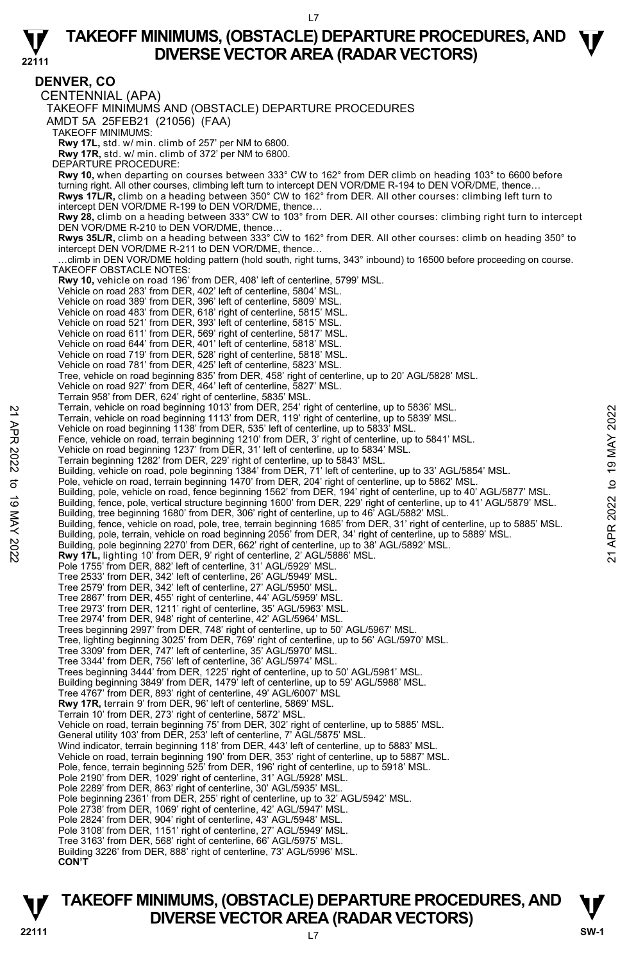

**22111 DENVER, CO**  CENTENNIAL (APA) TAKEOFF MINIMUMS AND (OBSTACLE) DEPARTURE PROCEDURES AMDT 5A 25FEB21 (21056) (FAA) TAKEOFF MINIMUMS: **Rwy 17L,** std. w/ min. climb of 257' per NM to 6800. **Rwy 17R,** std. w/ min. climb of 372' per NM to 6800. DEPARTURE PROCEDURE: **Rwy 10,** when departing on courses between 333° CW to 162° from DER climb on heading 103° to 6600 before turning right. All other courses, climbing left turn to intercept DEN VOR/DME R-194 to DEN VOR/DME, thence… **Rwys 17L/R,** climb on a heading between 350° CW to 162° from DER. All other courses: climbing left turn to intercept DEN VOR/DME R-199 to DEN VOR/DME, thence…  **Rwy 28,** climb on a heading between 333° CW to 103° from DER. All other courses: climbing right turn to intercept DEN VOR/DME R-210 to DEN VOR/DME, thence.  **Rwys 35L/R,** climb on a heading between 333° CW to 162° from DER. All other courses: climb on heading 350° to intercept DEN VOR/DME R-211 to DEN VOR/DME, thence… …climb in DEN VOR/DME holding pattern (hold south, right turns, 343° inbound) to 16500 before proceeding on course. TAKEOFF OBSTACLE NOTES: **Rwy 10,** vehicle on road 196' from DER, 408' left of centerline, 5799' MSL. Vehicle on road 283' from DER, 402' left of centerline, 5804' MSL. Vehicle on road 389' from DER, 396' left of centerline, 5809' MSL. Vehicle on road 483' from DER, 618' right of centerline, 5815' MSL. Vehicle on road 521' from DER, 393' left of centerline, 5815' MSL. Vehicle on road 611' from DER, 569' right of centerline, 5817' MSL. Vehicle on road 644' from DER, 401' left of centerline, 5818' MSL. Vehicle on road 719' from DER, 528' right of centerline, 5818' MSL. Vehicle on road 781' from DER, 425' left of centerline, 5823' MSL. Tree, vehicle on road beginning 835' from DER, 458' right of centerline, up to 20' AGL/5828' MSL. Vehicle on road 927' from DER, 464' left of centerline, 5827' MSL. Terrain 958' from DER, 624' right of centerline, 5835' MSL. Terrain, vehicle on road beginning 1013' from DER, 254' right of centerline, up to 5836' MSL. Terrain, vehicle on road beginning 1113' from DER, 119' right of centerline, up to 5839' MSL. Vehicle on road beginning 1138' from DER, 535' left of centerline, up to 5833' MSL Fence, vehicle on road, terrain beginning 1210' from DER, 3' right of centerline, up to 5841' MSL. Vehicle on road beginning 1237' from DER, 31' left of centerline, up to 5834' MSL. Terrain beginning 1282' from DER, 229' right of centerline, up to 5843' MSL. Building, vehicle on road, pole beginning 1384' from DER, 71' left of centerline, up to 33' AGL/5854' MSL.<br>Pole, vehicle on road, terrain beginning 1470' from DER, 204' right of centerline, up to 5862' MSL. Building, pole, vehicle on road, fence beginning 1562' from DER, 194' right of centerline, up to 40' AGL/5877' MSL. Building, fence, pole, vertical structure beginning 1600' from DER, 229' right of centerline, up to 41' AGL/5879' MSL.<br>Building, tree beginning 1680' from DER, 306' right of centerline, up to 46' AGL/5882' MSL. Building, fence, vehicle on road, pole, tree, terrain beginning 1685' from DER, 31' right of centerline, up to 5885' MSL. Building, pole, terrain, vehicle on road beginning 2056' from DER, 34' right of centerline, up to 5889' MSL. Building, pole beginning 2270' from DER, 662' right of centerline, up to 38' AGL/5892' MSL.<br>**Rwy 17L,** lighting 10' from DER, 9' right of centerline, 2' AGL/5886' MSL. Pole 1755' from DER, 882' left of centerline, 31' AGL/5929' MSL. Tree 2533' from DER, 342' left of centerline, 26' AGL/5949' MSL. Tree 2579' from DER, 342' left of centerline, 27' AGL/5950' MSL. Tree 2867' from DER, 455' right of centerline, 44' AGL/5959' MSL. Tree 2973' from DER, 1211' right of centerline, 35' AGL/5963' MSL. Tree 2974' from DER, 948' right of centerline, 42' AGL/5964' MSL. Trees beginning 2997' from DER, 748' right of centerline, up to 50' AGL/5967' MSL. Tree, lighting beginning 3025' from DER, 769' right of centerline, up to 56' AGL/5970' MSL. Tree 3309' from DER, 747' left of centerline, 35' AGL/5970' MSL. Tree 3344' from DER, 756' left of centerline, 36' AGL/5974' MSL. Trees beginning 3444' from DER, 1225' right of centerline, up to 50' AGL/5981' MSL. Building beginning 3849' from DER, 1479' left of centerline, up to 59' AGL/5988' MSL.<br>Tree 4767' from DER, 893' right of centerline, 49' AGL/6007' MSL **Rwy 17R,** terrain 9' from DER, 96' left of centerline, 5869' MSL. Terrain 10' from DER, 273' right of centerline, 5872' MSL. Vehicle on road, terrain beginning 75' from DER, 302' right of centerline, up to 5885' MSL. General utility 103' from DER, 253' left of centerline, 7' AGL/5875' MSL. Wind indicator, terrain beginning 118' from DER, 443' left of centerline, up to 5883' MSL. Vehicle on road, terrain beginning 190' from DER, 353' right of centerline, up to 5887' MSL. Pole, fence, terrain beginning 525' from DER, 196' right of centerline, up to 5918' MSL. Pole 2190' from DER, 1029' right of centerline, 31' AGL/5928' MSL. Pole 2289' from DER, 863' right of centerline, 30' AGL/5935' MSL. Pole beginning 2361' from DER, 255' right of centerline, up to 32' AGL/5942' MSL. Pole 2738' from DER, 1069' right of centerline, 42' AGL/5947' MSL. Pole 2824' from DER, 904' right of centerline, 43' AGL/5948' MSL. Pole 3108' from DER, 1151' right of centerline, 27' AGL/5949' MSL. Tree 3163' from DER, 568' right of centerline, 66' AGL/5975' MSL. Building 3226' from DER, 888' right of centerline, 73' AGL/5996' MSL. **CON'T** 1 Ferrain, vehicle on road beginning 1137 from DER, 249 "fight of centerline, up to 5839' MSL.<br>
Terrain, vehicle on road beginning 1137 from DER, 535' left of centerline, up to 5833' MSL.<br>
Vehicle on road beginning 1138'



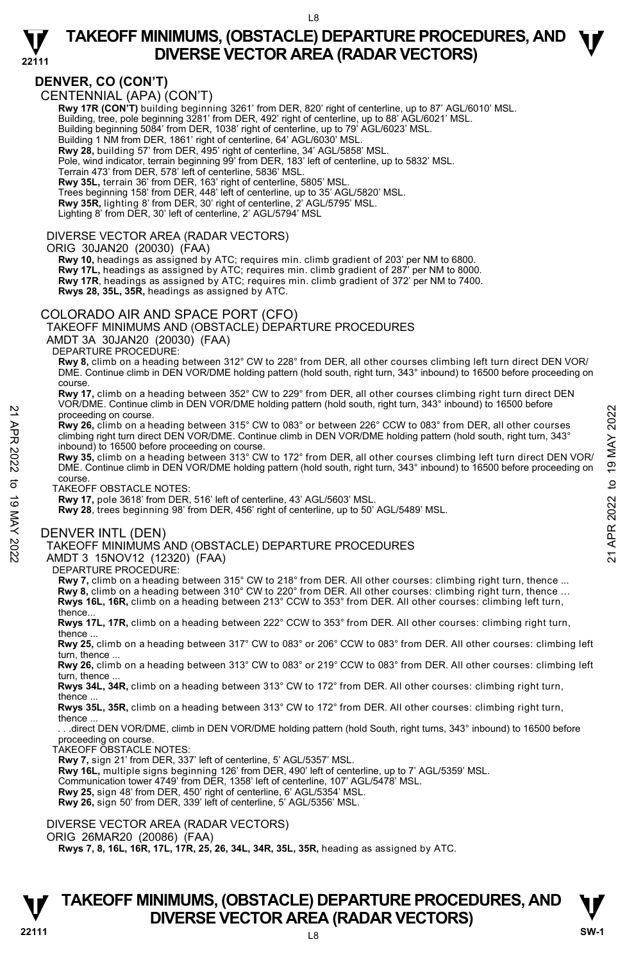

# **DENVER, CO (CON'T)**

CENTENNIAL (APA) (CON'T)

 **Rwy 17R (CON'T)** building beginning 3261' from DER, 820' right of centerline, up to 87' AGL/6010' MSL. Building, tree, pole beginning 3281' from DER, 492' right of centerline, up to 88' AGL/6021' MSL. Building beginning 5084' from DER, 1038' right of centerline, up to 79' AGL/6023' MSL. Building 1 NM from DER, 1861' right of centerline, 64' AGL/6030' MSL. **Rwy 28,** building 57' from DER, 495' right of centerline, 34' AGL/5858' MSL. Pole, wind indicator, terrain beginning 99' from DER, 183' left of centerline, up to 5832' MSL.

Terrain 473' from DER, 578' left of centerline, 5836' MSL.

**Rwy 35L,** terrain 36' from DER, 163' right of centerline, 5805' MSL.

Trees beginning 158' from DER, 448' left of centerline, up to 35' AGL/5820' MSL. **Rwy 35R,** lighting 8' from DER, 30' right of centerline, 2' AGL/5795' MSL.

Lighting 8' from DER, 30' left of centerline, 2' AGL/5794' MSL

#### DIVERSE VECTOR AREA (RADAR VECTORS)

#### ORIG 30JAN20 (20030) (FAA)

 **Rwy 10,** headings as assigned by ATC; requires min. climb gradient of 203' per NM to 6800. **Rwy 17L,** headings as assigned by ATC; requires min. climb gradient of 287' per NM to 8000. **Rwy 17R**, headings as assigned by ATC; requires min. climb gradient of 372' per NM to 7400. **Rwys 28, 35L, 35R,** headings as assigned by ATC.

#### COLORADO AIR AND SPACE PORT (CFO)

TAKEOFF MINIMUMS AND (OBSTACLE) DEPARTURE PROCEDURES

AMDT 3A 30JAN20 (20030) (FAA)

DEPARTURE PROCEDURE:

**Rwy 8,** climb on a heading between 312° CW to 228° from DER, all other courses climbing left turn direct DEN VOR/ DME. Continue climb in DEN VOR/DME holding pattern (hold south, right turn, 343° inbound) to 16500 before proceeding on course.

**Rwy 17,** climb on a heading between 352° CW to 229° from DER, all other courses climbing right turn direct DEN VOR/DME. Continue climb in DEN VOR/DME holding pattern (hold south, right turn, 343° inbound) to 16500 before proceeding on course.

**Rwy 26,** climb on a heading between 315° CW to 083° or between 226° CCW to 083° from DER, all other courses climbing right turn direct DEN VOR/DME. Continue climb in DEN VOR/DME holding pattern (hold south, right turn, 343° inbound) to 16500 before proceeding on course.

**Rwy 35,** climb on a heading between 313° CW to 172° from DER, all other courses climbing left turn direct DEN VOR/ DME. Continue climb in DEN VOR/DME holding pattern (hold south, right turn, 343° inbound) to 16500 before proceeding on course. 22 Proceeding on course.<br>
22 Proceeding on course.<br>
22 Proceeding on course.<br>
22 CCW to 083° or between 226° CCW to 083° from DER, all other courses<br>
22 course inhound) to 16500 before proceeding on course.<br>
22 inhound) t

TAKEOFF OBSTACLE NOTES:

**Rwy 17,** pole 3618' from DER, 516' left of centerline, 43' AGL/5603' MSL.

**Rwy 28**, trees beginning 98' from DER, 456' right of centerline, up to 50' AGL/5489' MSL.

#### DENVER INTL (DEN)

#### TAKEOFF MINIMUMS AND (OBSTACLE) DEPARTURE PROCEDURES

AMDT 3 15NOV12 (12320) (FAA)

DEPARTURE PROCEDURE:

**Rwy 7,** climb on a heading between 315° CW to 218° from DER. All other courses: climbing right turn, thence ... Rwy 8, climb on a heading between 310° CW to 220° from DER. All other courses: climbing right turn, thence ...<br>Rwys 16L, 16R, climb on a heading between 213° CCW to 353° from DER. All other courses: climbing left turn, thence

 **Rwys 17L, 17R,** climb on a heading between 222° CCW to 353° from DER. All other courses: climbing right turn, thence ...

 **Rwy 25,** climb on a heading between 317° CW to 083° or 206° CCW to 083° from DER. All other courses: climbing left turn, thence

 **Rwy 26,** climb on a heading between 313° CW to 083° or 219° CCW to 083° from DER. All other courses: climbing left turn, thence.

 **Rwys 34L, 34R,** climb on a heading between 313° CW to 172° from DER. All other courses: climbing right turn, thence

 **Rwys 35L, 35R,** climb on a heading between 313° CW to 172° from DER. All other courses: climbing right turn, thence ...

 . . .direct DEN VOR/DME, climb in DEN VOR/DME holding pattern (hold South, right turns, 343° inbound) to 16500 before proceeding on course.

TAKEOFF OBSTACLE NOTES:

**Rwy 7,** sign 21' from DER, 337' left of centerline, 5' AGL/5357' MSL.

**Rwy 16L,** multiple signs beginning 126' from DER, 490' left of centerline, up to 7' AGL/5359' MSL.<br>Communication tower 4749' from DER, 1358' left of centerline, 107' AGL/5478' MSL.

**Rwy 25,** sign 48' from DER, 450' right of centerline, 6' AGL/5354' MSL.

**Rwy 26,** sign 50' from DER, 339' left of centerline, 5' AGL/5356' MSL.

DIVERSE VECTOR AREA (RADAR VECTORS)

ORIG 26MAR20 (20086) (FAA)

 **Rwys 7, 8, 16L, 16R, 17L, 17R, 25, 26, 34L, 34R, 35L, 35R,** heading as assigned by ATC.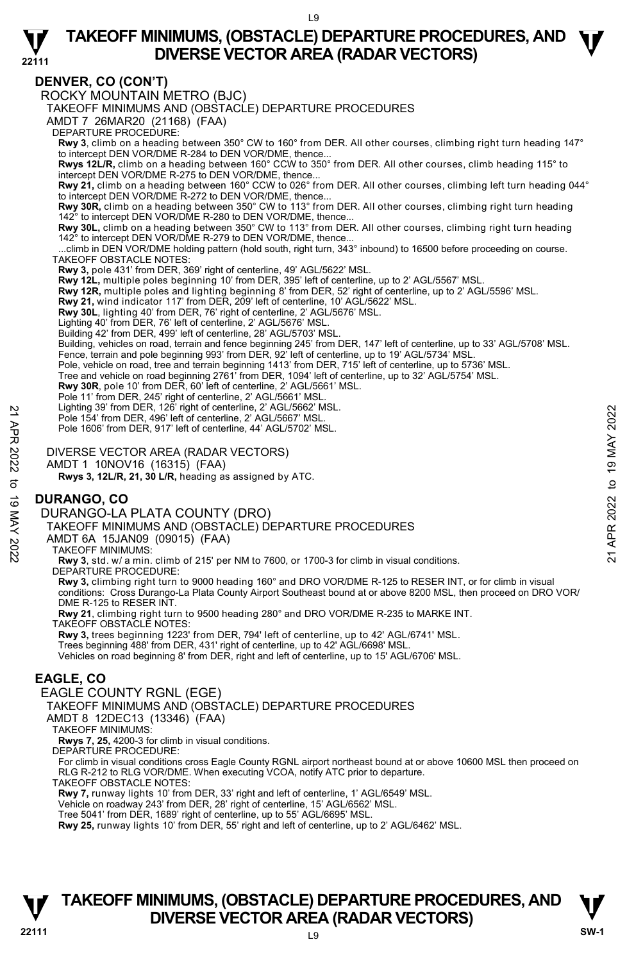

### **DENVER, CO (CON'T)**

ROCKY MOUNTAIN METRO (BJC)

TAKEOFF MINIMUMS AND (OBSTACLE) DEPARTURE PROCEDURES

AMDT 7 26MAR20 (21168) (FAA)

DEPARTURE PROCEDURE:

**Rwy 3**, climb on a heading between 350° CW to 160° from DER. All other courses, climbing right turn heading 147° to intercept DEN VOR/DME R-284 to DEN VOR/DME, thence...

**Rwys 12L/R,** climb on a heading between 160° CCW to 350° from DER. All other courses, climb heading 115° to intercept DEN VOR/DME R-275 to DEN VOR/DME, thence...

**Rwy 21,** climb on a heading between 160° CCW to 026° from DER. All other courses, climbing left turn heading 044°<br>to intercept DEN VOR/DME R-272 to DEN VOR/DME, thence...

**Rwy 30R,** climb on a heading between 350° CW to 113° from DER. All other courses, climbing right turn heading to intercept DEN VOR/DME R-280 to DEN VOR/DME, thence

**Rwy 30L,** climb on a heading between 350° CW to 113° from DER. All other courses, climbing right turn heading 142° to intercept DEN VOR/DME R-279 to DEN VOR/DME, thence...

 ...climb in DEN VOR/DME holding pattern (hold south, right turn, 343° inbound) to 16500 before proceeding on course. TAKEOFF OBSTACLE NOTES:

**Rwy 3,** pole 431' from DER, 369' right of centerline, 49' AGL/5622' MSL.<br>**Rwy 12L,** multiple poles beginning 10' from DER, 395' left of centerline, up to 2' AGL/5567' MSL.

**Rwy 12R,** multiple poles and lighting beginning 8' from DER, 52' right of centerline, up to 2' AGL/5596' MSL.<br>**Rwy 21,** wind indicator 117' from DER, 209' left of centerline, 10' AGL/5622' MSL.

**Rwy 30L**, lighting 40' from DER, 76' right of centerline, 2' AGL/5676' MSL.

Lighting 40' from DER, 76' left of centerline, 2' AGL/5676' MSL. Building 42' from DER, 499' left of centerline, 28' AGL/5703' MSL.

Building, vehicles on road, terrain and fence beginning 245' from DER, 147' left of centerline, up to 33' AGL/5708' MSL.

Fence, terrain and pole beginning 993' from DER, 92' left of centerline, up to 19' AGL/5734' MSL.

Pole, vehicle on road, tree and terrain beginning 1413' from DER, 715' left of centerline, up to 5736' MSL. Tree and vehicle on road beginning 2761' from DER, 1094' left of centerline, up to 32' AGL/5754' MSL.

**Rwy 30R**, pole 10' from DER, 60' left of centerline, 2' AGL/5661' MSL.

Pole 11' from DER, 245' right of centerline, 2' AGL/5661' MSL. Lighting 39' from DER, 126' right of centerline, 2' AGL/5662' MSL.

Pole 154' from DER, 496' left of centerline, 2' AGL/5667' MSL.

Pole 1606' from DER, 917' left of centerline, 44' AGL/5702' MSL.

DIVERSE VECTOR AREA (RADAR VECTORS)

AMDT 1 10NOV16 (16315) (FAA)

 **Rwys 3, 12L/R, 21, 30 L/R,** heading as assigned by ATC.

# **DURANGO, CO**

DURANGO-LA PLATA COUNTY (DRO)

TAKEOFF MINIMUMS AND (OBSTACLE) DEPARTURE PROCEDURES Pole 154' from DER, 496' left of centerline, 2' AGL/5667' MSL.<br>
Pole 154' from DER, 496' left of centerline, 44' AGL/5667' MSL.<br>
Pole 1606' from DER, 917' left of centerline, 44' AGL/5702' MSL.<br>
AMDT 1 10NOV16 (16315) (FA

AMDT 6A 15JAN09 (09015) (FAA)

TAKEOFF MINIMUMS:

**Rwy 3**, std. w/ a min. climb of 215' per NM to 7600, or 1700-3 for climb in visual conditions. DEPARTURE PROCEDURE:

**Rwy 3,** climbing right turn to 9000 heading 160° and DRO VOR/DME R-125 to RESER INT, or for climb in visual conditions: Cross Durango-La Plata County Airport Southeast bound at or above 8200 MSL, then proceed on DRO VOR/ DME R-125 to RESER INT.

**Rwy 21**, climbing right turn to 9500 heading 280° and DRO VOR/DME R-235 to MARKE INT.

TAKEOFF OBSTACLE NOTES:

**Rwy 3,** trees beginning 1223' from DER, 794' left of centerline, up to 42' AGL/6741' MSL.<br>Trees beginning 488' from DER, 431' right of centerline, up to 42' AGL/6698' MSL. Vehicles on road beginning 8' from DER, right and left of centerline, up to 15' AGL/6706' MSL.

## **EAGLE, CO**

EAGLE COUNTY RGNL (EGE) TAKEOFF MINIMUMS AND (OBSTACLE) DEPARTURE PROCEDURES

AMDT 8 12DEC13 (13346) (FAA)

TAKEOFF MINIMUMS:

**Rwys 7, 25,** 4200-3 for climb in visual conditions. DEPARTURE PROCEDURE:

For climb in visual conditions cross Eagle County RGNL airport northeast bound at or above 10600 MSL then proceed on RLG R-212 to RLG VOR/DME. When executing VCOA, notify ATC prior to departure. TAKEOFF OBSTACLE NOTES:

**Rwy 7,** runway lights 10' from DER, 33' right and left of centerline, 1' AGL/6549' MSL.

Vehicle on roadway 243' from DER, 28' right of centerline, 15' AGL/6562' MSL.

Tree 5041' from DER, 1689' right of centerline, up to 55' AGL/6695' MSL.

**Rwy 25,** runway lights 10' from DER, 55' right and left of centerline, up to 2' AGL/6462' MSL.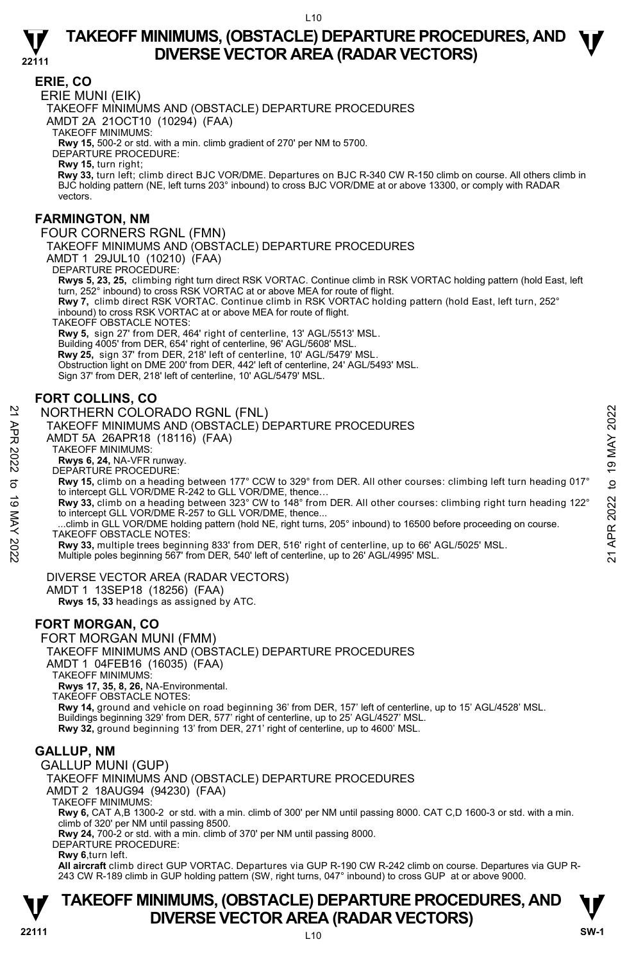

### **ERIE, CO**

ERIE MUNI (EIK)

TAKEOFF MINIMUMS AND (OBSTACLE) DEPARTURE PROCEDURES

AMDT 2A 21OCT10 (10294) (FAA)

TAKEOFF MINIMUMS:

**Rwy 15,** 500-2 or std. with a min. climb gradient of 270' per NM to 5700. DEPARTURE PROCEDURE:

**Rwy 15,** turn right;

 **Rwy 33,** turn left; climb direct BJC VOR/DME. Departures on BJC R-340 CW R-150 climb on course. All others climb in BJC holding pattern (NE, left turns 203° inbound) to cross BJC VOR/DME at or above 13300, or comply with RADAR vectors.

### **FARMINGTON, NM**

FOUR CORNERS RGNL (FMN)

TAKEOFF MINIMUMS AND (OBSTACLE) DEPARTURE PROCEDURES

AMDT 1 29JUL10 (10210) (FAA)

DEPARTURE PROCEDURE:

**Rwys 5, 23, 25,** climbing right turn direct RSK VORTAC. Continue climb in RSK VORTAC holding pattern (hold East, left turn, 252° inbound) to cross RSK VORTAC at or above MEA for route of flight. **Rwy 7,** climb direct RSK VORTAC. Continue climb in RSK VORTAC holding pattern (hold East, left turn, 252°

inbound) to cross RSK VORTAC at or above MEA for route of flight.

TAKEOFF OBSTACLE NOTES:

**Rwy 5,** sign 27' from DER, 464' right of centerline, 13' AGL/5513' MSL.

Building 4005' from DER, 654' right of centerline, 96' AGL/5608' MSL.

**Rwy 25,** sign 37' from DER, 218' left of centerline, 10' AGL/5479' MSL.

Obstruction light on DME 200' from DER, 442' left of centerline, 24' AGL/5493' MSL.

Sign 37' from DER, 218' left of centerline, 10' AGL/5479' MSL.

# **FORT COLLINS, CO**

NORTHERN COLORADO RGNL (FNL)

TAKEOFF MINIMUMS AND (OBSTACLE) DEPARTURE PROCEDURES

AMDT 5A 26APR18 (18116) (FAA)

TAKEOFF MINIMUMS:

**Rwys 6, 24,** NA-VFR runway.

DEPARTURE PROCEDURE:

**Rwy 15,** climb on a heading between 177° CCW to 329° from DER. All other courses: climbing left turn heading 017° to intercept GLL VOR/DME R-242 to GLL VOR/DME, thence... 22 NORTHERN COLORADO RGNL (FNL)<br>
TAKEOFF MINIMUMS AND (OBSTACLE) DEPARTURE PROCEDURES<br>
21 AMDT 5A 26APR 18 (18116) (FAA)<br>
22 TAKEOFF MINIMUMS:<br>
TAKEOFF MINIMUMS:<br>
22 TAKEOFF MINIMUMS:<br>
23 TAKEOFF MINIMUMS:<br>
23 TAKEOFF MIN

**Rwy 33,** climb on a heading between 323° CW to 148° from DER. All other courses: climbing right turn heading 122°<br>to intercept GLL VOR/DME R-257 to GLL VOR/DME, thence...

 ...climb in GLL VOR/DME holding pattern (hold NE, right turns, 205° inbound) to 16500 before proceeding on course. TAKEOFF OBSTACLE NOTES:

**Rwy 33,** multiple trees beginning 833' from DER, 516' right of centerline, up to 66' AGL/5025' MSL.<br>Multiple poles beginning 567' from DER, 540' left of centerline, up to 26' AGL/4995' MSL.

#### DIVERSE VECTOR AREA (RADAR VECTORS)

AMDT 1 13SEP18 (18256) (FAA)

 **Rwys 15, 33** headings as assigned by ATC.

## **FORT MORGAN, CO**

FORT MORGAN MUNI (FMM)

TAKEOFF MINIMUMS AND (OBSTACLE) DEPARTURE PROCEDURES

AMDT 1 04FEB16 (16035) (FAA)

TAKEOFF MINIMUMS:

**Rwys 17, 35, 8, 26,** NA-Environmental. TAKEOFF OBSTACLE NOTES:

**Rwy 14,** ground and vehicle on road beginning 36' from DER, 157' left of centerline, up to 15' AGL/4528' MSL. Buildings beginning 329' from DER, 577' right of centerline, up to 25' AGL/4527' MSL.<br>**Rwy 32,** ground beginning 13' from DER, 271' right of centerline, up to 4600' MSL.

#### **GALLUP, NM**

GALLUP MUNI (GUP)

TAKEOFF MINIMUMS AND (OBSTACLE) DEPARTURE PROCEDURES AMDT 2 18AUG94 (94230) (FAA)

TAKEOFF MINIMUMS:

**Rwy 6,** CAT A,B 1300-2 or std. with a min. climb of 300' per NM until passing 8000. CAT C,D 1600-3 or std. with a min. climb of 320' per NM until passing 8500.

**Rwy 24,** 700-2 or std. with a min. climb of 370' per NM until passing 8000. DEPARTURE PROCEDURE:

**Rwy 6**,turn left.

**All aircraft** climb direct GUP VORTAC. Departures via GUP R-190 CW R-242 climb on course. Departures via GUP R-243 CW R-189 climb in GUP holding pattern (SW, right turns, 047° inbound) to cross GUP at or above 9000.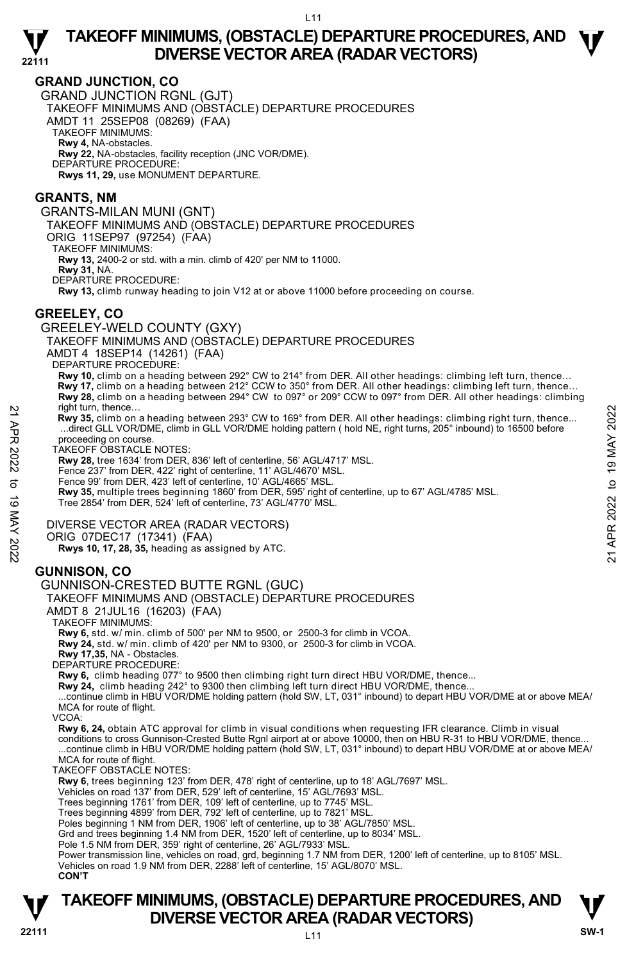

#### **GRAND JUNCTION, CO**

GRAND JUNCTION RGNL (GJT) TAKEOFF MINIMUMS AND (OBSTACLE) DEPARTURE PROCEDURES AMDT 11 25SEP08 (08269) (FAA) TAKEOFF MINIMUMS: **Rwy 4,** NA-obstacles. **Rwy 22,** NA-obstacles, facility reception (JNC VOR/DME). DEPARTURE PROCEDURE:

**Rwys 11, 29,** use MONUMENT DEPARTURE.

#### **GRANTS, NM**

GRANTS-MILAN MUNI (GNT)

TAKEOFF MINIMUMS AND (OBSTACLE) DEPARTURE PROCEDURES

ORIG 11SEP97 (97254) (FAA)

TAKEOFF MINIMUMS:

**Rwy 13,** 2400-2 or std. with a min. climb of 420' per NM to 11000.

**Rwy 31,** NA.

DEPARTURE PROCEDURE:

**Rwy 13,** climb runway heading to join V12 at or above 11000 before proceeding on course.

#### **GREELEY, CO**

GREELEY-WELD COUNTY (GXY)

TAKEOFF MINIMUMS AND (OBSTACLE) DEPARTURE PROCEDURES

AMDT 4 18SEP14 (14261) (FAA)

DEPARTURE PROCEDURE:

**Rwy 10,** climb on a heading between 292° CW to 214° from DER. All other headings: climbing left turn, thence…

 **Rwy 17,** climb on a heading between 212° CCW to 350° from DER. All other headings: climbing left turn, thence… **Rwy 28,** climb on a heading between 294° CW to 097° or 209° CCW to 097° from DER. All other headings: climbing right turn, thence…

 **Rwy 35,** climb on a heading between 293° CW to 169° from DER. All other headings: climbing right turn, thence... ...direct GLL VOR/DME, climb in GLL VOR/DME holding pattern ( hold NE, right turns, 205° inbound) to 16500 before proceeding on course. mgnt turn, thence...<br>
21 May 35, climb in on a heading between 293° CW to 169° from DER. All other headings: climbing right turn, thence...<br>
27 May 2022 to 19 May 2022 radice CLU VOR/DME, climb in GLL VOR/DME holding patte

TAKEOFF OBSTACLE NOTES:

**Rwy 28,** tree 1634' from DER, 836' left of centerline, 56' AGL/4717' MSL.

Fence 237' from DER, 422' right of centerline, 11' AGL/4670' MSL.

Fence 99' from DER, 423' left of centerline, 10' AGL/4665' MSL.

**Rwy 35,** multiple trees beginning 1860' from DER, 595' right of centerline, up to 67' AGL/4785' MSL.

Tree 2854' from DER, 524' left of centerline, 73' AGL/4770' MSL.

#### DIVERSE VECTOR AREA (RADAR VECTORS)

ORIG 07DEC17 (17341) (FAA)

 **Rwys 10, 17, 28, 35,** heading as assigned by ATC.

## **GUNNISON, CO**

#### GUNNISON-CRESTED BUTTE RGNL (GUC)

TAKEOFF MINIMUMS AND (OBSTACLE) DEPARTURE PROCEDURES

AMDT 8 21JUL16 (16203) (FAA)

TAKEOFF MINIMUMS:

**Rwy 6,** std. w/ min. climb of 500' per NM to 9500, or 2500-3 for climb in VCOA.

**Rwy 24,** std. w/ min. climb of 420' per NM to 9300, or 2500-3 for climb in VCOA.

**Rwy 17,35,** NA - Obstacles. DEPARTURE PROCEDURE:

**Rwy 6,** climb heading 077° to 9500 then climbing right turn direct HBU VOR/DME, thence...

**Rwy 24,** climb heading 242° to 9300 then climbing left turn direct HBU VOR/DME, thence...<br>...continue climb in HBU VOR/DME holding pattern (hold SW, LT, 031° inbound) to depart HBU VOR/DME at or above MEA/ MCA for route of flight.

VCOA:

**Rwy 6, 24,** obtain ATC approval for climb in visual conditions when requesting IFR clearance. Climb in visual conditions to cross Gunnison-Crested Butte Rgnl airport at or above 10000, then on HBU R-31 to HBU VOR/DME, thence... ...continue climb in HBU VOR/DME holding pattern (hold SW, LT, 031° inbound) to depart HBU VOR/DME at or above MEA/

MCA for route of flight. TAKEOFF OBSTACLE NOTES:

**Rwy 6**, trees beginning 123' from DER, 478' right of centerline, up to 18' AGL/7697' MSL.

Vehicles on road 137' from DER, 529' left of centerline, 15' AGL/7693' MSL.

Trees beginning 1761' from DER, 109' left of centerline, up to 7745' MSL. Trees beginning 4899' from DER, 792' left of centerline, up to 7821' MSL.

Poles beginning 1 NM from DER, 1906' left of centerline, up to 38' AGL/7850' MSL.

Grd and trees beginning 1.4 NM from DER, 1520' left of centerline, up to 8034' MSL. Pole 1.5 NM from DER, 359' right of centerline, 26' AGL/7933' MSL.

Power transmission line, vehicles on road, grd, beginning 1.7 NM from DER, 1200' left of centerline, up to 8105' MSL. Vehicles on road 1.9 NM from DER, 2288' left of centerline, 15' AGL/8070' MSL.

 **CON'T**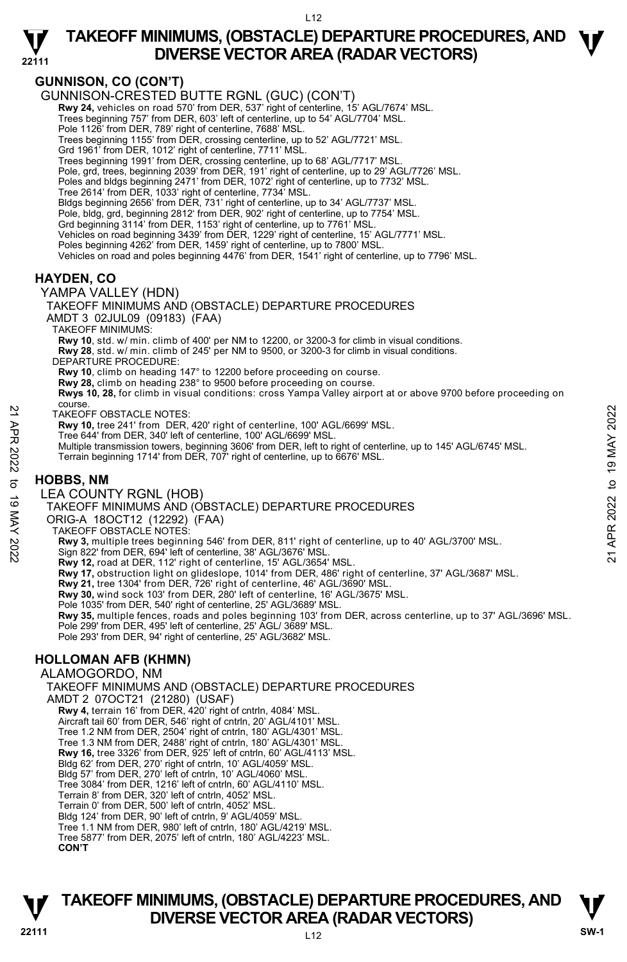



**22111** 

# **GUNNISON, CO (CON'T)**

GUNNISON-CRESTED BUTTE RGNL (GUC) (CON'T)

- Rwy 24, vehicles on road 570' from DER, 537' right of centerline, 15' AGL/7674' MSL. Trees beginning 757' from DER, 603' left of centerline, up to 54' AGL/7704' MSL.
- Pole 1126' from DER, 789' right of centerline, 7688' MSL.
- Trees beginning 1155' from DER, crossing centerline, up to 52' AGL/7721' MSL.
- Grd 1961' from DER, 1012' right of centerline, 7711' MSL.
- Trees beginning 1991' from DER, crossing centerline, up to 68' AGL/7717' MSL.
- Pole, grd, trees, beginning 2039' from DER, 191' right of centerline, up to 29' AGL/7726' MSL.
- Poles and bldgs beginning 2471' from DER, 1072' right of centerline, up to 7732' MSL. Tree 2614' from DER, 1033' right of centerline, 7734' MSL.
- Bldgs beginning 2656' from DER, 731' right of centerline, up to 34' AGL/7737' MSL.
- Pole, bldg, grd, beginning 2812' from DER, 902' right of centerline, up to 7754' MSL.
- Grd beginning 3114' from DER, 1153' right of centerline, up to 7761' MSL.
- Vehicles on road beginning 3439' from DER, 1229' right of centerline, 15' AGL/7771' MSL.
- Poles beginning 4262' from DER, 1459' right of centerline, up to 7800' MSL.
- Vehicles on road and poles beginning 4476' from DER, 1541' right of centerline, up to 7796' MSL.

### **HAYDEN, CO**

YAMPA VALLEY (HDN) TAKEOFF MINIMUMS AND (OBSTACLE) DEPARTURE PROCEDURES AMDT 3 02JUL09 (09183) (FAA) TAKEOFF MINIMUMS: **Rwy 10**, std. w/ min. climb of 400' per NM to 12200, or 3200-3 for climb in visual conditions. **Rwy 28**, std. w/ min. climb of 245' per NM to 9500, or 3200-3 for climb in visual conditions. DEPARTURE PROCEDURE: **Rwy 10**, climb on heading 147° to 12200 before proceeding on course. **Rwy 28,** climb on heading 238° to 9500 before proceeding on course. **Rwys 10, 28,** for climb in visual conditions: cross Yampa Valley airport at or above 9700 before proceeding on course. TAKEOFF OBSTACLE NOTES: **Rwy 10,** tree 241' from DER, 420' right of centerline, 100' AGL/6699' MSL. Tree 644' from DER, 340' left of centerline, 100' AGL/6699' MSL. Multiple transmission towers, beginning 3606' from DER, left to right of centerline, up to 145' AGL/6745' MSL. Terrain beginning 1714' from DER, 707' right of centerline, up to 6676' MSL. **HOBBS, NM**  LEA COUNTY RGNL (HOB) TAKEOFF MINIMUMS AND (OBSTACLE) DEPARTURE PROCEDURES ORIG-A 18OCT12 (12292) (FAA) TAKEOFF OBSTACLE NOTES: 22 TAKEOFF OBSTACLE NOTES:<br>
22 TAKEOFF OBSTACLE NOTES, 420' right of centerline, 100' AGL/6699' MSL.<br>
22 The 644' from DER, 340' left of centerline, 100' AGL/6699' MSL.<br>
22 The 644' from DER, 707' right of centerline, up

**Rwy 3,** multiple trees beginning 546' from DER, 811' right of centerline, up to 40' AGL/3700' MSL.<br>Sign 822' from DER, 694' left of centerline, 38' AGL/3676' MSL.

- 
- **Rwy 12,** road at DER, 112' right of centerline, 15' AGL/3654' MSL.
- **Rwy 17,** obstruction light on glideslope, 1014' from DER, 486' right of centerline, 37' AGL/3687' MSL.<br>**Rwy 21,** tree 1304' from DER, 726' right of centerline, 46' AGL/3690' MSL.
- 
- **Rwy 30,** wind sock 103' from DER, 280' left of centerline, 16' AGL/3675' MSL.
- Pole 1035' from DER, 540' right of centerline, 25' AGL/3689' MSL.
- **Rwy 35,** multiple fences, roads and poles beginning 103' from DER, across centerline, up to 37' AGL/3696' MSL.<br>Pole 299' from DER, 495' left of centerline, 25' AGL/ 3689' MSL.
- Pole 293' from DER, 94' right of centerline, 25' AGL/3682' MSL.

# **HOLLOMAN AFB (KHMN)**

ALAMOGORDO, NM

TAKEOFF MINIMUMS AND (OBSTACLE) DEPARTURE PROCEDURES

- 
- AMDT 2 07OCT21 (21280) (USAF) **Rwy 4,** terrain 16' from DER, 420' right of cntrln, 4084' MSL.
	- Aircraft tail 60' from DER, 546' right of cntrln, 20' AGL/4101' MSL. Tree 1.2 NM from DER, 2504' right of cntrln, 180' AGL/4301' MSL.
	- Tree 1.3 NM from DER, 2488' right of cntrln, 180' AGL/4301' MSL.
	- **Rwy 16,** tree 3326' from DER, 925' left of cntrln, 60' AGL/4113' MSL.
	-
	- Bldg 62' from DER, 270' right of cntrln, 10' AGL/4059' MSL. Bldg 57' from DER, 270' left of cntrln, 10' AGL/4060' MSL.
	- Tree 3084' from DER, 1216' left of cntrln, 60' AGL/4110' MSL.
	- Terrain 8' from DER, 320' left of cntrln, 4052' MSL. Terrain 0' from DER, 500' left of cntrln, 4052' MSL.
	-
	- Bldg 124' from DER, 90' left of cntrln, 9' AGL/4059' MSL.
	- Tree 1.1 NM from DER, 980' left of cntrln, 180' AGL/4219' MSL. Tree 5877' from DER, 2075' left of cntrln, 180' AGL/4223' MSL.
	- **CON'T**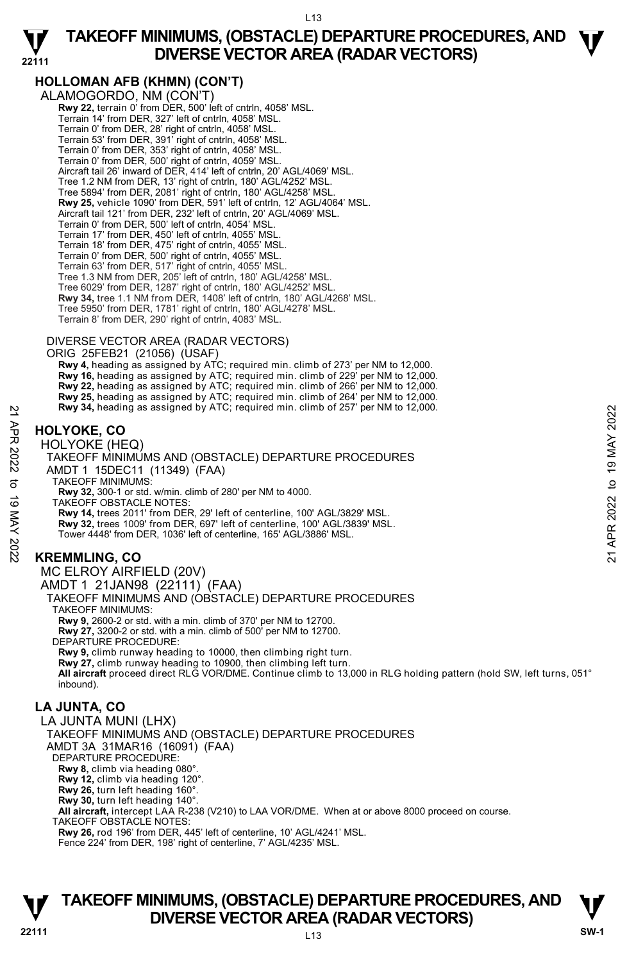

 $L13$ 

# **TAKEOFF MINIMUMS, (OBSTACLE) DEPARTURE PROCEDURES, AND <br>
ON/EDSE VECTOR AREA (BADAR) VECTORS) DIVERSE VECTOR AREA (RADAR VECTORS)**

# **HOLLOMAN AFB (KHMN) (CON'T)**

**22111** 

ALAMOGORDO, NM (CON'T) **Rwy 22,** terrain 0' from DER, 500' left of cntrln, 4058' MSL Terrain 14' from DER, 327' left of cntrln, 4058' MSL. Terrain 0' from DER, 28' right of cntrln, 4058' MSL. Terrain 53' from DER, 391' right of cntrln, 4058' MSL. Terrain 0' from DER, 353' right of cntrln, 4058' MSL. Terrain 0' from DER, 500' right of cntrln, 4059' MSL. Aircraft tail 26' inward of DER, 414' left of cntrln, 20' AGL/4069' MSL. Tree 1.2 NM from DER, 13' right of cntrln, 180' AGL/4252' MSL. Tree 5894' from DER, 2081' right of cntrln, 180' AGL/4258' MSL. **Rwy 25,** vehicle 1090' from DER, 591' left of cntrln, 12' AGL/4064' MSL. Aircraft tail 121' from DER, 232' left of cntrln, 20' AGL/4069' MSL. Terrain 0' from DER, 500' left of cntrln, 4054' MSL. Terrain 17' from DER, 450' left of cntrln, 4055' MSL. Terrain 18' from DER, 475' right of cntrln, 4055' MSL. Terrain 0' from DER, 500' right of cntrln, 4055' MSL. Terrain 63' from DER, 517' right of cntrln, 4055' MSL. Tree 1.3 NM from DER, 205' left of cntrln, 180' AGL/4258' MSL. Tree 6029' from DER, 1287' right of cntrln, 180' AGL/4252' MSL. **Rwy 34,** tree 1.1 NM from DER, 1408' left of cntrln, 180' AGL/4268' MSL. Tree 5950' from DER, 1781' right of cntrln, 180' AGL/4278' MSL. Terrain 8' from DER, 290' right of cntrln, 4083' MSL. DIVERSE VECTOR AREA (RADAR VECTORS)

ORIG 25FEB21 (21056) (USAF)

 **Rwy 4,** heading as assigned by ATC; required min. climb of 273' per NM to 12,000.  **Rwy 16,** heading as assigned by ATC; required min. climb of 229' per NM to 12,000.  **Rwy 22,** heading as assigned by ATC; required min. climb of 266' per NM to 12,000.  **Rwy 25,** heading as assigned by ATC; required min. climb of 264' per NM to 12,000.  **Rwy 34,** heading as assigned by ATC; required min. climb of 257' per NM to 12,000.

# **HOLYOKE, CO**

HOLYOKE (HEQ)

TAKEOFF MINIMUMS AND (OBSTACLE) DEPARTURE PROCEDURES AMDT 1 15DEC11 (11349) (FAA) TAKEOFF MINIMUMS: **Rwy 32,** 300-1 or std. w/min. climb of 280' per NM to 4000. TAKEOFF OBSTACLE NOTES: **Rwy 14,** trees 2011' from DER, 29' left of centerline, 100' AGL/3829' MSL. **Rwy 32,** trees 1009' from DER, 697' left of centerline, 100' AGL/3839' MSL. Tower 4448' from DER, 1036' left of centerline, 165' AGL/3886' MSL. **EXAMPLE 19 APROVE ASSAUT AND AVAILLY ONE CONSUMPTED ASSAUT AND CONSUMPTED ASSAUT AND CONSUMPTED ASSAUT AND CONSUMPTED ASSAUT AND CONSUMPTED AND CONSUMPTED AND CONSUMPTED AND TAKEOFF MINIMUMS:<br>
TAKEOFF MINIMUMS AND (OBSTA** 

# **KREMMLING, CO**

MC ELROY AIRFIELD (20V)

AMDT 1 21JAN98 (22111) (FAA)

TAKEOFF MINIMUMS AND (OBSTACLE) DEPARTURE PROCEDURES

TAKEOFF MINIMUMS:

**Rwy 9,** 2600-2 or std. with a min. climb of 370' per NM to 12700.

**Rwy 27,** 3200-2 or std. with a min. climb of 500' per NM to 12700. DEPARTURE PROCEDURE:

**Rwy 9,** climb runway heading to 10000, then climbing right turn. **Rwy 27,** climb runway heading to 10900, then climbing left turn. **All aircraft** proceed direct RLG VOR/DME. Continue climb to 13,000 in RLG holding pattern (hold SW, left turns, 051° inbound).

# **LA JUNTA, CO**

LA JUNTA MUNI (LHX) TAKEOFF MINIMUMS AND (OBSTACLE) DEPARTURE PROCEDURES AMDT 3A 31MAR16 (16091) (FAA) DEPARTURE PROCEDURE: **Rwy 8,** climb via heading 080°. **Rwy 12,** climb via heading 120°. **Rwy 26,** turn left heading 160°. **Rwy 30,** turn left heading 140°. **All aircraft,** intercept LAA R-238 (V210) to LAA VOR/DME. When at or above 8000 proceed on course. TAKEOFF OBSTACLE NOTES: **Rwy 26,** rod 196' from DER, 445' left of centerline, 10' AGL/4241' MSL. Fence 224' from DER, 198' right of centerline, 7' AGL/4235' MSL.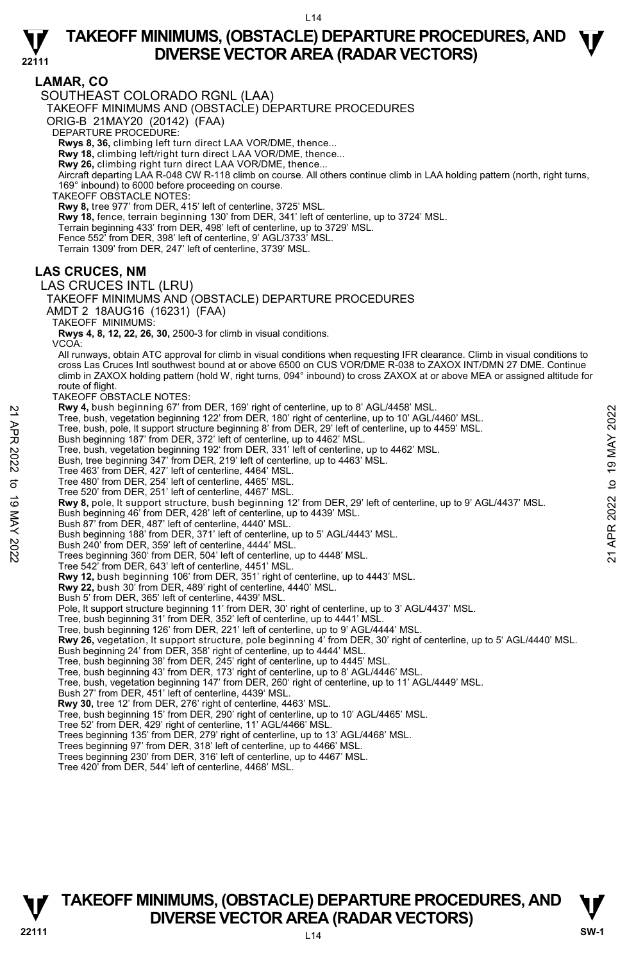

# **LAMAR, CO**

SOUTHEAST COLORADO RGNL (LAA)

TAKEOFF MINIMUMS AND (OBSTACLE) DEPARTURE PROCEDURES

ORIG-B 21MAY20 (20142) (FAA)

DEPARTURE PROCEDURE:

**Rwys 8, 36,** climbing left turn direct LAA VOR/DME, thence...

**Rwy 18,** climbing left/right turn direct LAA VOR/DME, thence...

**Rwy 26,** climbing right turn direct LAA VOR/DME, thence...

Aircraft departing LAA R-048 CW R-118 climb on course. All others continue climb in LAA holding pattern (north, right turns, 169° inbound) to 6000 before proceeding on course.

TAKEOFF OBŚTACLE NOTES

**Rwy 8,** tree 977' from DER, 415' left of centerline, 3725' MSL. **Rwy 18,** fence, terrain beginning 130' from DER, 341' left of centerline, up to 3724' MSL. Terrain beginning 433' from DER, 498' left of centerline, up to 3729' MSL. Fence 552' from DER, 398' left of centerline, 9' AGL/3733' MSL. Terrain 1309' from DER, 247' left of centerline, 3739' MSL.

### **LAS CRUCES, NM**

LAS CRUCES INTL (LRU)

TAKEOFF MINIMUMS AND (OBSTACLE) DEPARTURE PROCEDURES AMDT 2 18AUG16 (16231) (FAA)

TAKEOFF MINIMUMS:

**Rwys 4, 8, 12, 22, 26, 30,** 2500-3 for climb in visual conditions.

VCOA:

All runways, obtain ATC approval for climb in visual conditions when requesting IFR clearance. Climb in visual conditions to cross Las Cruces Intl southwest bound at or above 6500 on CUS VOR/DME R-038 to ZAXOX INT/DMN 27 DME. Continue climb in ZAXOX holding pattern (hold W, right turns, 094° inbound) to cross ZAXOX at or above MEA or assigned altitude for route of flight.

TAKEOFF OBSTACLE NOTES:

**Rwy 4,** bush beginning 67' from DER, 169' right of centerline, up to 8' AGL/4458' MSL.

Tree, bush, vegetation beginning 122' from DER, 180' right of centerline, up to 10' AGL/4460' MSL.

Tree, bush, pole, lt support structure beginning 8' from DER, 29' left of centerline, up to 4459' MSL.

Bush beginning 187' from DER, 372' left of centerline, up to 4462' MSL.

Tree, bush, vegetation beginning 192' from DER, 331' left of centerline, up to 4462' MSL.

Bush, tree beginning 347' from DER, 219' left of centerline, up to 4463' MSL.<br>Tree 463' from DER, 427' left of centerline, 4464' MSL.<br>Tree 480' from DER, 254' left of centerline, 4465' MSL.

Tree 520' from DER, 251' left of centerline, 4467' MSL.

**Rwy 8,** pole, It support structure, bush beginning 12' from DER, 29' left of centerline, up to 9' AGL/4437' MSL.<br>Bush beginning 46' from DER, 428' left of centerline, up to 4439' MSL. **EVALUATE SET THE AND THE SET AND THE SET AND THE SET AND A SET THE AUST.** Then beginning 122' from DER, 380' right of centerline, up to 4462' MSL.<br>
Tree, bush, pole, it support structure beginning 8' from DER, 29' left o

Bush 87' from DER, 487' left of centerline, 4440' MSL.

Bush beginning 188' from DER, 371' left of centerline, up to 5' AGL/4443' MSL.

Bush 240' from DER, 359' left of centerline, 4444' MSL. Trees beginning 360' from DER, 504' left of centerline, up to 4448' MSL.

Tree 542' from DER, 643' left of centerline, 4451' MSL.

**Rwy 12,** bush beginning 106' from DER, 351' right of centerline, up to 4443' MSL. **Rwy 22,** bush 30' from DER, 489' right of centerline, 4440' MSL.

Bush 5' from DER, 365' left of centerline, 4439' MSL.

Pole, It support structure beginning 11' from DER, 30' right of centerline, up to 3' AGL/4437' MSL.<br>Tree, bush beginning 31' from DER, 352' left of centerline, up to 4441' MSL.

Tree, bush beginning 126' from DER, 221' left of centerline, up to 9' AGL/4444' MSL.

**Rwy 26,** vegetation, lt support structure, pole beginning 4' from DER, 30' right of centerline, up to 5' AGL/4440' MSL.

Bush beginning 24' from DER, 358' right of centerline, up to 4444' MSL.<br>Tree, bush beginning 38' from DER, 245' right of centerline, up to 4445' MSL.<br>Tree, bush beginning 43' from DER, 173' right of centerline, up to 8' AG

Tree, bush, vegetation beginning 147' from DER, 260' right of centerline, up to 11' AGL/4449' MSL.

Bush 27' from DER, 451' left of centerline, 4439' MSL.

 **Rwy 30,** tree 12' from DER, 276' right of centerline, 4463' MSL.

Tree, bush beginning 15' from DER, 290' right of centerline, up to 10' AGL/4465' MSL.

Tree 52' from DER, 429' right of centerline, 11' AGL/4466' MSL. Trees beginning 135' from DER, 279' right of centerline, up to 13' AGL/4468' MSL.

Trees beginning 97' from DER, 318' left of centerline, up to 4466' MSL.

Trees beginning 230' from DER, 316' left of centerline, up to 4467' MSL. Tree 420' from DER, 544' left of centerline, 4468' MSL.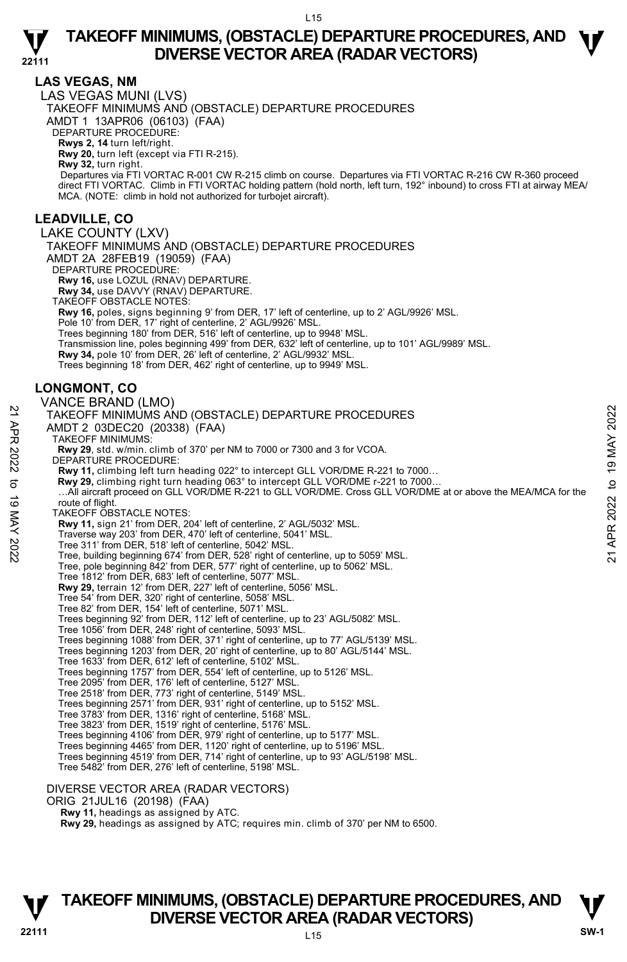

#### **LAS VEGAS, NM**

**22111**  LAS VEGAS MUNI (LVS) TAKEOFF MINIMUMS AND (OBSTACLE) DEPARTURE PROCEDURES AMDT 1 13APR06 (06103) (FAA) DEPARTURE PROCEDURE: **Rwys 2, 14** turn left/right. **Rwy 20,** turn left (except via FTI R-215). **Rwy 32,** turn right. Departures via FTI VORTAC R-001 CW R-215 climb on course. Departures via FTI VORTAC R-216 CW R-360 proceed direct FTI VORTAC. Climb in FTI VORTAC holding pattern (hold north, left turn, 192° inbound) to cross FTI at airway MEA/ MCA. (NOTE: climb in hold not authorized for turbojet aircraft). **LEADVILLE, CO**  LAKE COUNTY (LXV) TAKEOFF MINIMUMS AND (OBSTACLE) DEPARTURE PROCEDURES AMDT 2A 28FEB19 (19059) (FAA) DEPARTURE PROCEDURE: **Rwy 16,** use LOZUL (RNAV) DEPARTURE. **Rwy 34,** use DAVVY (RNAV) DEPARTURE. TAKEOFF OBSTACLE NOTES: **Rwy 16,** poles, signs beginning 9' from DER, 17' left of centerline, up to 2' AGL/9926' MSL. Pole 10' from DER, 17' right of centerline, 2' AGL/9926' MSL Trees beginning 180' from DER, 516' left of centerline, up to 9948' MSL. Transmission line, poles beginning 499' from DER, 632' left of centerline, up to 101' AGL/9989' MSL. **Rwy 34,** pole 10' from DER, 26' left of centerline, 2' AGL/9932' MSL. Trees beginning 18' from DER, 462' right of centerline, up to 9949' MSL. **LONGMONT, CO**  VANCE BRAND (LMO) TAKEOFF MINIMUMS AND (OBSTACLE) DEPARTURE PROCEDURES AMDT 2 03DEC20 (20338) (FAA) TAKEOFF MINIMUMS:  **Rwy 29**, std. w/min. climb of 370' per NM to 7000 or 7300 and 3 for VCOA. DEPARTURE PROCEDURE: **Rwy 11,** climbing left turn heading 022° to intercept GLL VOR/DME R-221 to 7000… **Rwy 29,** climbing right turn heading 063° to intercept GLL VOR/DME r-221 to 7000… …All aircraft proceed on GLL VOR/DME R-221 to GLL VOR/DME. Cross GLL VOR/DME at or above the MEA/MCA for the route of flight. TAKEOFF OBSTACLE NOTES: **Rwy 11,** sign 21' from DER, 204' left of centerline, 2' AGL/5032' MSL. Traverse way 203' from DER, 470' left of centerline, 5041' MSL. Tree 311' from DER, 518' left of centerline, 5042' MSL. Tree, building beginning 674' from DER, 528' right of centerline, up to 5059' MSL. Tree, pole beginning 842' from DER, 577' right of centerline, up to 5062' MSL. Tree 1812' from DER, 683' left of centerline, 5077' MSL. **Rwy 29,** terrain 12' from DER, 227' left of centerline, 5056' MSL. Tree 54' from DER, 320' right of centerline, 5058' MSL. 21 TAKEOFF MINIMUMS AND (OBSTACLE) DEPARTURE PROCEDURES<br>
22 TAKEOFF MINIMUMS:<br>
22 AMDT 2 03DEC20 (20338) (FAA)<br>
23 TAKEOFF MINIMUMS:<br>
23 TAKEOFF MINIMUMS:<br>
23 EMPARTURE PROCEDURE:<br>
23 EMPARTURE PROCEDURE:<br>
23 EMPARTURE PR

Tree 82' from DER, 154' left of centerline, 5071' MSL. Trees beginning 92' from DER, 112' left of centerline, up to 23' AGL/5082' MSL.

Tree 1056' from DER, 248' right of centerline, 5093' MSL.

Trees beginning 1088' from DER, 371' right of centerline, up to 77' AGL/5139' MSL.

Trees beginning 1203' from DER, 20' right of centerline, up to 80' AGL/5144' MSL.

Tree 1633' from DER, 612' left of centerline, 5102' MSL. Trees beginning 1757' from DER, 554' left of centerline, up to 5126' MSL.

Tree 2095' from DER, 176' left of centerline, 5127' MSL.<br>Tree 2518' from DER, 773' right of centerline, 5149' MSL.<br>Trees beginning 2571' from DER, 931' right of centerline, up to 5152' MSL.

Tree 3783' from DER, 1316' right of centerline, 5168' MSL.

Tree 3823' from DER, 1519' right of centerline, 5176' MSL. Trees beginning 4106' from DER, 979' right of centerline, up to 5177' MSL.

Trees beginning 4465' from DER, 1120' right of centerline, up to 5196' MSL.

Trees beginning 4519' from DER, 714' right of centerline, up to 93' AGL/5198' MSL. Tree 5482' from DER, 276' left of centerline, 5198' MSL.

#### DIVERSE VECTOR AREA (RADAR VECTORS)

ORIG 21JUL16 (20198) (FAA)

 **Rwy 11,** headings as assigned by ATC.

 **Rwy 29,** headings as assigned by ATC; requires min. climb of 370' per NM to 6500.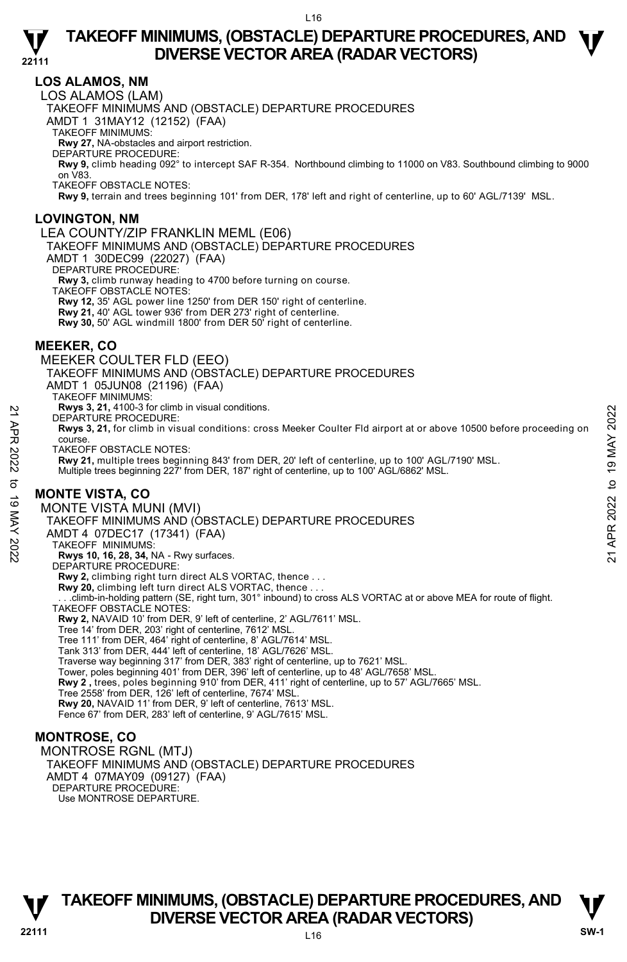### **LOS ALAMOS, NM**

**22111** 

LOS ALAMOS (LAM)

TAKEOFF MINIMUMS AND (OBSTACLE) DEPARTURE PROCEDURES

AMDT 1 31MAY12 (12152) (FAA)

TAKEOFF MINIMUMS:

**Rwy 27,** NA-obstacles and airport restriction. DEPARTURE PROCEDURE:

**Rwy 9,** climb heading 092° to intercept SAF R-354. Northbound climbing to 11000 on V83. Southbound climbing to 9000 on V83.

TAKEOFF OBSTACLE NOTES:

**Rwy 9,** terrain and trees beginning 101' from DER, 178' left and right of centerline, up to 60' AGL/7139' MSL.

#### **LOVINGTON, NM**

LEA COUNTY/ZIP FRANKLIN MEML (E06)

TAKEOFF MINIMUMS AND (OBSTACLE) DEPARTURE PROCEDURES

AMDT 1 30DEC99 (22027) (FAA)

DEPARTURE PROCEDURE:

**Rwy 3,** climb runway heading to 4700 before turning on course.

TAKEOFF OBSTACLE NOTES:

**Rwy 12,** 35' AGL power line 1250' from DER 150' right of centerline.

**Rwy 21,** 40' AGL tower 936' from DER 273' right of centerline.

**Rwy 30,** 50' AGL windmill 1800' from DER 50' right of centerline.

#### **MEEKER, CO**

MEEKER COULTER FLD (EEO)

TAKEOFF MINIMUMS AND (OBSTACLE) DEPARTURE PROCEDURES

AMDT 1 05JUN08 (21196) (FAA)

TAKEOFF MINIMUMS:

**Rwys 3, 21,** 4100-3 for climb in visual conditions.

DEPARTURE PROCEDURE:

**Rwys 3, 21,** for climb in visual conditions: cross Meeker Coulter Fld airport at or above 10500 before proceeding on course.

TAKEOFF OBSTACLE NOTES:

**Rwy 21,** multiple trees beginning 843' from DER, 20' left of centerline, up to 100' AGL/7190' MSL.

Multiple trees beginning 227' from DER, 187' right of centerline, up to 100' AGL/6862' MSL.

#### **MONTE VISTA, CO**

MONTE VISTA MUNI (MVI) TAKEOFF MINIMUMS AND (OBSTACLE) DEPARTURE PROCEDURES AMDT 4 07DEC17 (17341) (FAA) TAKEOFF MINIMUMS: **Rwys 10, 16, 28, 34,** NA - Rwy surfaces. DEPARTURE PROCEDURE: **Rwy 2,** climbing right turn direct ALS VORTAC, thence . . . **Rwy 20,** climbing left turn direct ALS VORTAC, thence . . . . . .climb-in-holding pattern (SE, right turn, 301° inbound) to cross ALS VORTAC at or above MEA for route of flight. TAKEOFF OBSTACLE NOTES: **Rwy 2,** NAVAID 10' from DER, 9' left of centerline, 2' AGL/7611' MSL. Tree 14' from DER, 203' right of centerline, 7612' MSL. Tree 111' from DER, 464' right of centerline, 8' AGL/7614' MSL. Tank 313' from DER, 444' left of centerline, 18' AGL/7626' MSL. Traverse way beginning 317' from DER, 383' right of centerline, up to 7621' MSL. Tower, poles beginning 401' from DER, 396' left of centerline, up to 48' AGL/7658' MSL.  **Rwy 2 ,** trees, poles beginning 910' from DER, 411' right of centerline, up to 57' AGL/7665' MSL. Tree 2558' from DER, 126' left of centerline, 7674' MSL. **Rwy 20,** NAVAID 11' from DER, 9' left of centerline, 7613' MSL. Fence 67' from DER, 283' left of centerline, 9' AGL/7615' MSL. EVALUE PROCEDURE:<br>
21 APP BEPARTURE PROCEDURE:<br>
21 APP RWS 3, 21, for climb in visual conditions: cross Meeker Coulter Fld airport at or above 10500 before proceeding on<br>
22 AMEGOFF OBSTACLE NOTES:<br>
22 TAKEOFF OBSTACLE NOT

#### **MONTROSE, CO**

MONTROSE RGNL (MTJ) TAKEOFF MINIMUMS AND (OBSTACLE) DEPARTURE PROCEDURES AMDT 4 07MAY09 (09127) (FAA) DEPARTURE PROCEDURE Use MONTROSE DEPARTURE.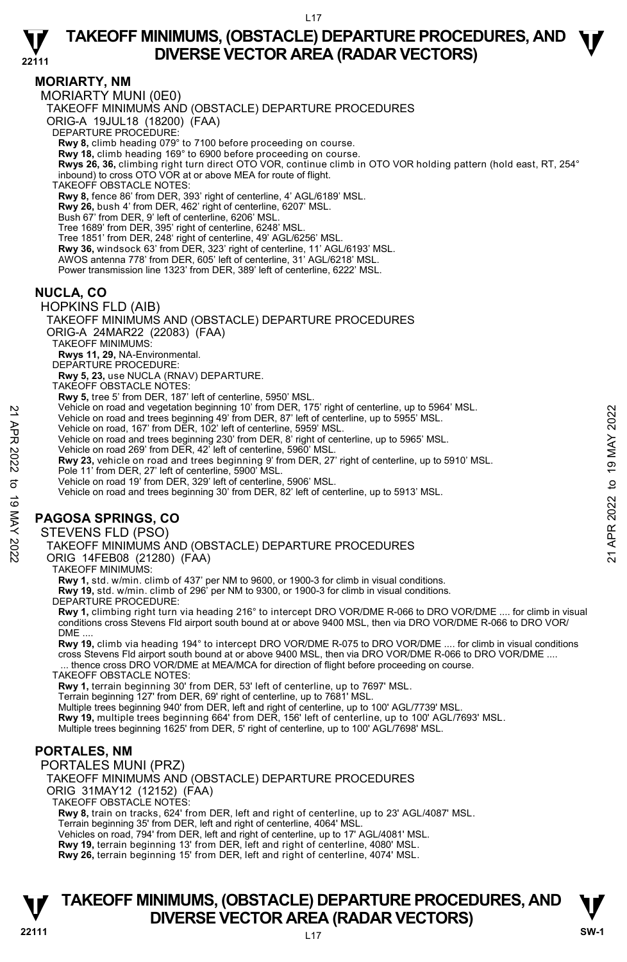**22111 MORIARTY, NM**  MORIARTY MUNI (0E0) TAKEOFF MINIMUMS AND (OBSTACLE) DEPARTURE PROCEDURES ORIG-A 19JUL18 (18200) (FAA) DEPARTURE PROCEDURE: **Rwy 8,** climb heading 079° to 7100 before proceeding on course. **Rwy 18,** climb heading 169° to 6900 before proceeding on course. **Rwys 26, 36,** climbing right turn direct OTO VOR, continue climb in OTO VOR holding pattern (hold east, RT, 254° inbound) to cross OTO VOR at or above MEA for route of flight. TAKEOFF OBSTACLE NOTES: **Rwy 8,** fence 86' from DER, 393' right of centerline, 4' AGL/6189' MSL. **Rwy 26,** bush 4' from DER, 462' right of centerline, 6207' MSL. Bush 67' from DER, 9' left of centerline, 6206' MSL. Tree 1689' from DER, 395' right of centerline, 6248' MSL. Tree 1851' from DER, 248' right of centerline, 49' AGL/6256' MSL. **Rwy 36,** windsock 63' from DER, 323' right of centerline, 11' AGL/6193' MSL. AWOS antenna 778' from DER, 605' left of centerline, 31' AGL/6218' MSL. Power transmission line 1323' from DER, 389' left of centerline, 6222' MSL. **NUCLA, CO**  HOPKINS FLD (AIB) TAKEOFF MINIMUMS AND (OBSTACLE) DEPARTURE PROCEDURES ORIG-A 24MAR22 (22083) (FAA) TAKEOFF MINIMUMS: **Rwys 11, 29,** NA-Environmental. DEPARTURE PROCEDURE: **Rwy 5, 23,** use NUCLA (RNAV) DEPARTURE. TAKEOFF OBSTACLE NOTES: **Rwy 5,** tree 5' from DER, 187' left of centerline, 5950' MSL. Vehicle on road and vegetation beginning 10' from DER, 175' right of centerline, up to 5964' MSL. Vehicle on road and trees beginning 49' from DER, 87' left of centerline, up to 5955' MSL. Vehicle on road, 167' from DER, 102' left of centerline, 5959' MSL. Vehicle on road and trees beginning 230' from DER, 8' right of centerline, up to 5965' MSL. Vehicle on road 269' from DER, 42' left of centerline, 5960' MSL. **Rwy 23,** vehicle on road and trees beginning 9' from DER, 27' right of centerline, up to 5910' MSL. Pole 11' from DER, 27' left of centerline, 5900' MSL. Price on road and trees beginning 10 Trom DER, 87 is right of centerline, up to 5955' MSL.<br>
Vehicle on road and trees beginning 49' from DER, 87' left of centerline, up to 5955' MSL.<br>
Vehicle on road and trees beginning 2

Vehicle on road 19' from DER, 329' left of centerline, 5906' MSL.

Vehicle on road and trees beginning 30' from DER, 82' left of centerline, up to 5913' MSL.

# **PAGOSA SPRINGS, CO**

STEVENS FLD (PSO)

TAKEOFF MINIMUMS AND (OBSTACLE) DEPARTURE PROCEDURES

ORIG 14FEB08 (21280) (FAA)

TAKEOFF MINIMUMS:

**Rwy 1,** std. w/min. climb of 437' per NM to 9600, or 1900-3 for climb in visual conditions. **Rwy 19,** std. w/min. climb of 296' per NM to 9300, or 1900-3 for climb in visual conditions.

DEPARTURE PROCEDURE:

**Rwy 1,** climbing right turn via heading 216° to intercept DRO VOR/DME R-066 to DRO VOR/DME .... for climb in visual conditions cross Stevens Fld airport south bound at or above 9400 MSL, then via DRO VOR/DME R-066 to DRO VOR/  $DME$ 

 **Rwy 19,** climb via heading 194° to intercept DRO VOR/DME R-075 to DRO VOR/DME .... for climb in visual conditions cross Stevens Fld airport south bound at or above 9400 MSL, then via DRO VOR/DME R-066 to DRO VOR/DME .... ... thence cross DRO VOR/DME at MEA/MCA for direction of flight before proceeding on course.

TAKEOFF OBSTACLE NOTES:

**Rwy 1,** terrain beginning 30' from DER, 53' left of centerline, up to 7697' MSL.<br>Terrain beginning 127' from DER, 69' right of centerline, up to 7681' MSL.

Multiple trees beginning 940' from DER, left and right of centerline, up to 100' AGL/7739' MSL.

**Rwy 19,** multiple trees beginning 664' from DER, 156' left of centerline, up to 100' AGL/7693' MSL.<br>Multiple trees beginning 1625' from DER, 5' right of centerline, up to 100' AGL/7698' MSL.

# **PORTALES, NM**

PORTALES MUNI (PRZ)

TAKEOFF MINIMUMS AND (OBSTACLE) DEPARTURE PROCEDURES ORIG 31MAY12 (12152) (FAA)

TAKEOFF OBSTACLE NOTES:

**Rwy 8,** train on tracks, 624' from DER, left and right of centerline, up to 23' AGL/4087' MSL. Terrain beginning 35' from DER, left and right of centerline, 4064' MSL.

Vehicles on road, 794' from DER, left and right of centerline, up to 17' AGL/4081' MSL.<br>**Rwy 19,** terrain beginning 13' from DER, left and right of centerline, 4080' MSL.

**Rwy 26,** terrain beginning 15' from DER, left and right of centerline, 4074' MSL.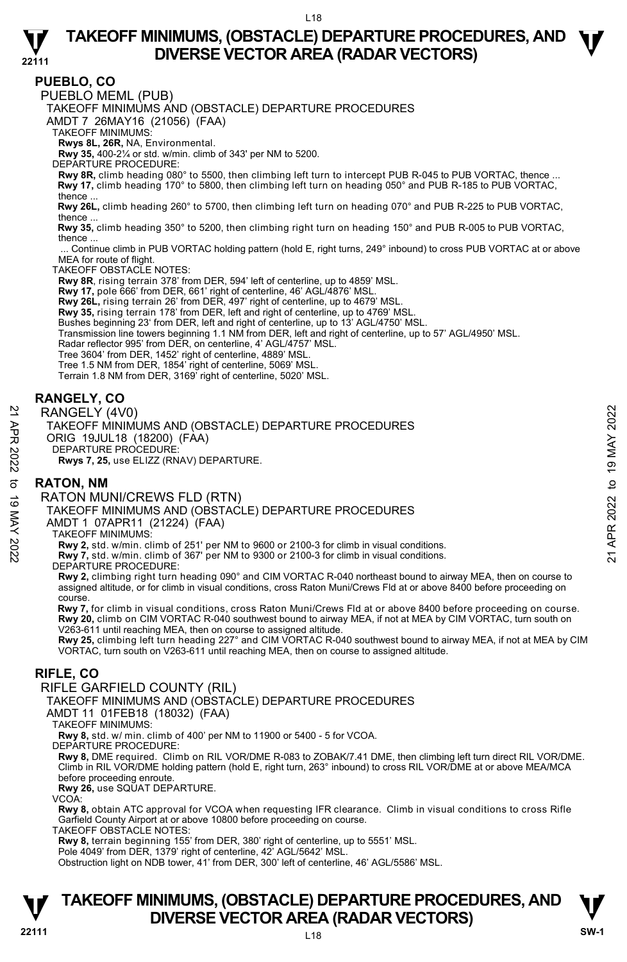

**PUEBLO, CO** 

PUEBLO MEML (PUB)

TAKEOFF MINIMUMS AND (OBSTACLE) DEPARTURE PROCEDURES

AMDT 7 26MAY16 (21056) (FAA)

TAKEOFF MINIMUMS:

**Rwys 8L, 26R,** NA, Environmental.

**Rwy 35,** 400-2¼ or std. w/min. climb of 343' per NM to 5200.

DEPARTURE PROCEDURE:

**Rwy 8R,** climb heading 080° to 5500, then climbing left turn to intercept PUB R-045 to PUB VORTAC, thence ... **Rwy 17,** climb heading 170° to 5800, then climbing left turn on heading 050° and PUB R-185 to PUB VORTAC, thence ...

 **Rwy 26L,** climb heading 260° to 5700, then climbing left turn on heading 070° and PUB R-225 to PUB VORTAC, thence

 **Rwy 35,** climb heading 350° to 5200, then climbing right turn on heading 150° and PUB R-005 to PUB VORTAC, thence ...

Continue climb in PUB VORTAC holding pattern (hold E, right turns, 249° inbound) to cross PUB VORTAC at or above MEA for route of flight.

TAKEOFF OBSTACLE NOTES:

**Rwy 8R**, rising terrain 378' from DER, 594' left of centerline, up to 4859' MSL.

**Rwy 17,** pole 666' from DER, 661' right of centerline, 46' AGL/4876' MSL.

**Rwy 26L,** rising terrain 26' from DER, 497' right of centerline, up to 4679' MSL.

**Rwy 35,** rising terrain 178' from DER, left and right of centerline, up to 4769' MSL.

Bushes beginning 23' from DER, left and right of centerline, up to 13' AGL/4750' MSL.

Transmission line towers beginning 1.1 NM from DER, left and right of centerline, up to 57' AGL/4950' MSL.

Radar reflector 995' from DER, on centerline, 4' AGL/4757' MSL.

Tree 3604' from DER, 1452' right of centerline, 4889' MSL.

Tree 1.5 NM from DER, 1854' right of centerline, 5069' MSL. Terrain 1.8 NM from DER, 3169' right of centerline, 5020' MSL.

### **RANGELY, CO**

RANGELY (4V0)

TAKEOFF MINIMUMS AND (OBSTACLE) DEPARTURE PROCEDURES RANGELY (4V0)<br>
TAKEOFF MINIMUMS AND (OBSTACLE) DEPARTURE PROCEDURES<br>
ORIG 19JUL18 (18200) (FAA)<br>
ORIG 19JUL18 (18200) (FAA)<br>
DEPARTURE PROCEDURE:<br>
RWS 7, 25, use ELIZZ (RNAV) DEPARTURE.<br>
RATON, NM<br>
RATON MUNI/CREWS FLD (R

ORIG 19JUL18 (18200) (FAA)

DEPARTURE PROCEDURE:

**Rwys 7, 25,** use ELIZZ (RNAV) DEPARTURE.

#### **RATON, NM**

#### RATON MUNI/CREWS FLD (RTN)

TAKEOFF MINIMUMS AND (OBSTACLE) DEPARTURE PROCEDURES

AMDT 1 07APR11 (21224) (FAA)

TAKEOFF MINIMUMS:

**Rwy 2,** std. w/min. climb of 251' per NM to 9600 or 2100-3 for climb in visual conditions. **Rwy 7,** std. w/min. climb of 367' per NM to 9300 or 2100-3 for climb in visual conditions.

DEPARTURE PROCEDURE:

**Rwy 2,** climbing right turn heading 090° and CIM VORTAC R-040 northeast bound to airway MEA, then on course to assigned altitude, or for climb in visual conditions, cross Raton Muni/Crews Fld at or above 8400 before proceeding on course.

 **Rwy 7,** for climb in visual conditions, cross Raton Muni/Crews Fld at or above 8400 before proceeding on course. **Rwy 20,** climb on CIM VORTAC R-040 southwest bound to airway MEA, if not at MEA by CIM VORTAC, turn south on V263-611 until reaching MEA, then on course to assigned altitude.

**Rwy 25,** climbing left turn heading 227° and CIM VORTAC R-040 southwest bound to airway MEA, if not at MEA by CIM VORTAC, turn south on V263-611 until reaching MEA, then on course to assigned altitude.

## **RIFLE, CO**

RIFLE GARFIELD COUNTY (RIL)

TAKEOFF MINIMUMS AND (OBSTACLE) DEPARTURE PROCEDURES

AMDT 11 01FEB18 (18032) (FAA)

TAKEOFF MINIMUMS:

**Rwy 8,** std. w/ min. climb of 400' per NM to 11900 or 5400 - 5 for VCOA.

DEPARTURE PROCEDURE:

**Rwy 8,** DME required. Climb on RIL VOR/DME R-083 to ZOBAK/7.41 DME, then climbing left turn direct RIL VOR/DME.<br>Climb in RIL VOR/DME holding pattern (hold E, right turn, 263° inbound) to cross RIL VOR/DME at or above MEA before proceeding enroute.

**Rwy 26,** use SQUAT DEPARTURE.

VCOA:

**Rwy 8,** obtain ATC approval for VCOA when requesting IFR clearance. Climb in visual conditions to cross Rifle Garfield County Airport at or above 10800 before proceeding on course.

TAKEOFF OBSTACLE NOTES:

**Rwy 8,** terrain beginning 155' from DER, 380' right of centerline, up to 5551' MSL. Pole 4049' from DER, 1379' right of centerline, 42' AGL/5642' MSL.

Obstruction light on NDB tower, 41' from DER, 300' left of centerline, 46' AGL/5586' MSL.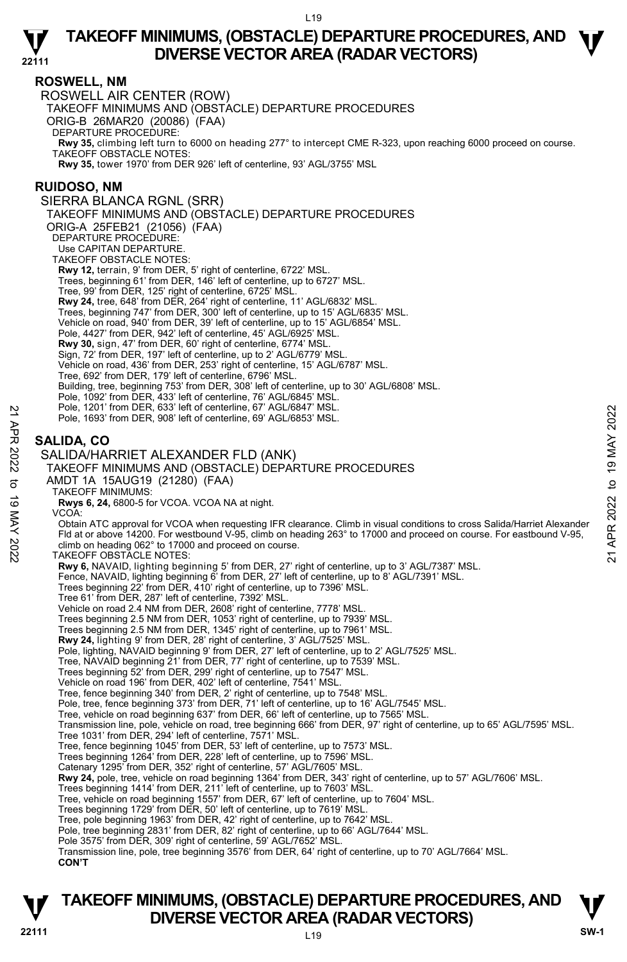

### **ROSWELL, NM**

ROSWELL AIR CENTER (ROW) TAKEOFF MINIMUMS AND (OBSTACLE) DEPARTURE PROCEDURES ORIG-B 26MAR20 (20086) (FAA) DEPARTURE PROCEDURE: **Rwy 35,** climbing left turn to 6000 on heading 277° to intercept CME R-323, upon reaching 6000 proceed on course. TAKEOFF OBSTACLE NOTES: **Rwy 35,** tower 1970' from DER 926' left of centerline, 93' AGL/3755' MSL **RUIDOSO, NM**  SIERRA BLANCA RGNL (SRR) TAKEOFF MINIMUMS AND (OBSTACLE) DEPARTURE PROCEDURES ORIG-A 25FEB21 (21056) (FAA) DEPARTURE PROCEDURE: Use CAPITAN DEPARTURE. TAKEOFF OBSTACLE NOTES: **Rwy 12,** terrain, 9' from DER, 5' right of centerline, 6722' MSL. Trees, beginning 61' from DER, 146' left of centerline, up to 6727' MSL. Tree, 99' from DER, 125' right of centerline, 6725' MSL. **Rwy 24,** tree, 648' from DER, 264' right of centerline, 11' AGL/6832' MSL. Trees, beginning 747' from DER, 300' left of centerline, up to 15' AGL/6835' MSL. Vehicle on road, 940' from DER, 39' left of centerline, up to 15' AGL/6854' MSL. Pole, 4427' from DER, 942' left of centerline, 45' AGL/6925' MSL. **Rwy 30,** sign, 47' from DER, 60' right of centerline, 6774' MSL. Sign, 72' from DER, 197' left of centerline, up to 2' AGL/6779' MSL. Vehicle on road, 436' from DER, 253' right of centerline, 15' AGL/6787' MSL. Tree, 692' from DER, 179' left of centerline, 6796' MSL. Building, tree, beginning 753' from DER, 308' left of centerline, up to 30' AGL/6808' MSL. Pole, 1092' from DER, 433' left of centerline, 76' AGL/6845' MSL. Pole, 1201' from DER, 633' left of centerline, 67' AGL/6847' MSL. Pole, 1693' from DER, 908' left of centerline, 69' AGL/6853' MSL. **SALIDA, CO**  SALIDA/HARRIET ALEXANDER FLD (ANK) TAKEOFF MINIMUMS AND (OBSTACLE) DEPARTURE PROCEDURES AMDT 1A 15AUG19 (21280) (FAA) TAKEOFF MINIMUMS: **Rwys 6, 24,** 6800-5 for VCOA. VCOA NA at night. VCOA: Obtain ATC approval for VCOA when requesting IFR clearance. Climb in visual conditions to cross Salida/Harriet Alexander Fld at or above 14200. For westbound V-95, climb on heading 263° to 17000 and proceed on course. For eastbound V-95, climb on heading 062° to 17000 and proceed on course. TAKEOFF OBSTACLE NOTES: **Rwy 6,** NAVAID, lighting beginning 5' from DER, 27' right of centerline, up to 3' AGL/7387' MSL. Fence, NAVAID, lighting beginning 6' from DER, 27' left of centerline, up to 8' AGL/7391' MSL. Trees beginning 22' from DER, 410' right of centerline, up to 7396' MSL. Tree 61' from DER, 287' left of centerline, 7392' MSL. Vehicle on road 2.4 NM from DER, 2608' right of centerline, 7778' MSL. Trees beginning 2.5 NM from DER, 1053' right of centerline, up to 7939' MSL. Trees beginning 2.5 NM from DER, 1345' right of centerline, up to 7961' MSL. **Rwy 24,** lighting 9' from DER, 28' right of centerline, 3' AGL/7525' MSL. Pole, lighting, NAVAID beginning 9' from DER, 27' left of centerline, up to 2' AGL/7525' MSL.<br>Tree, NAVAID beginning 21' from DER, 77' right of centerline, up to 7539' MSL. Trees beginning 52' from DER, 299' right of centerline, up to 7547' MSL. Vehicle on road 196' from DER, 402' left of centerline, 7541' MSL. Tree, fence beginning 340' from DER, 2' right of centerline, up to 7548' MSL. Pole, tree, fence beginning 373' from DER, 71' left of centerline, up to 16' AGL/7545' MSL. Tree, vehicle on road beginning 637' from DER, 66' left of centerline, up to 7565' MSL. Transmission line, pole, vehicle on road, tree beginning 666' from DER, 97' right of centerline, up to 65' AGL/7595' MSL. Tree 1031' from DER, 294' left of centerline, 7571' MSL. Tree, fence beginning 1045' from DER, 53' left of centerline, up to 7573' MSL. Trees beginning 1264' from DER, 228' left of centerline, up to 7596' MSL. Catenary 1295' from DER, 352' right of centerline, 57' AGL/7605' MSL.  **Rwy 24,** pole, tree, vehicle on road beginning 1364' from DER, 343' right of centerline, up to 57' AGL/7606' MSL. Trees beginning 1414' from DER, 211' left of centerline, up to 7603' MSL. Tree, vehicle on road beginning 1557' from DER, 67' left of centerline, up to 7604' MSL. Trees beginning 1729' from DER, 50' left of centerline, up to 7619' MSL. Tree, pole beginning 1963' from DER, 42' right of centerline, up to 7642' MSL. Pole, tree beginning 2831' from DER, 82' right of centerline, up to 66' AGL/7644' MSL. Pole 3575' from DER, 309' right of centerline, 59' AGL/7652' MSL. Transmission line, pole, tree beginning 3576' from DER, 64' right of centerline, up to 70' AGL/7664' MSL.  **CON'T**  Pole, 1201 from DER, 533 left of centerline, 67 AGL/6847 MSL.<br>
21 Pole, 1693' from DER, 908' left of centerline, 69' AGL/6853' MSL.<br>
22 SALIDA HARRIET ALEXANDER FLD (ANK)<br>
22 SALIDA HARRIET ALEXANDER FLD (ANK)<br>
23 TAKEOFF

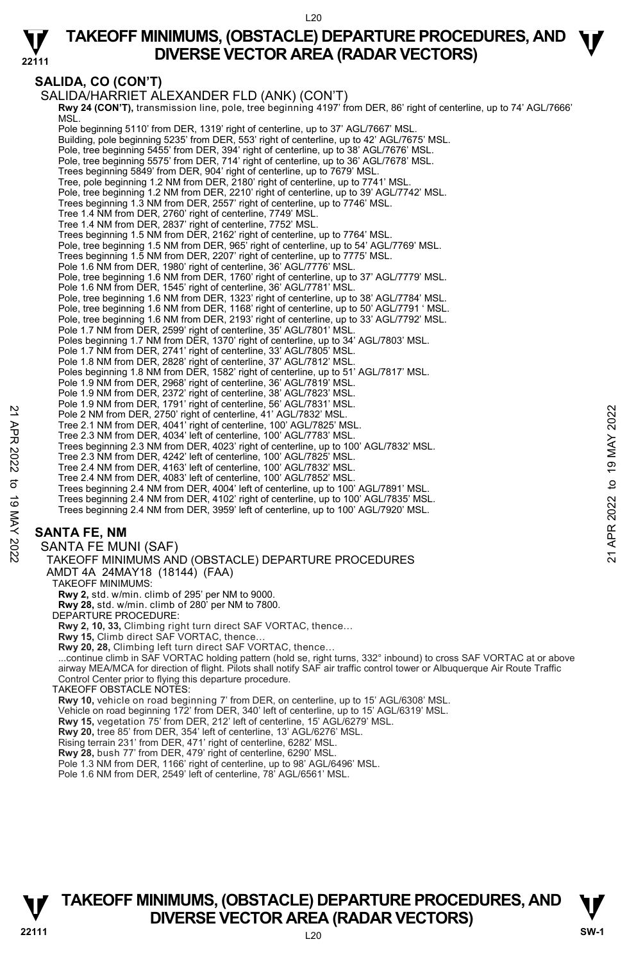

# **SALIDA, CO (CON'T)**

```
SALIDA/HARRIET ALEXANDER FLD (ANK) (CON'T) 
            Rwy 24 (CON'T), transmission line, pole, tree beginning 4197' from DER, 86' right of centerline, up to 74' AGL/7666' 
MSL. 
            Pole beginning 5110' from DER, 1319' right of centerline, up to 37' AGL/7667' MSL. 
            Building, pole beginning 5235' from DER, 553' right of centerline, up to 42' AGL/7675' MSL. 
Pole, tree beginning 5455' from DER, 394' right of centerline, up to 38' AGL/7676' MSL. 
            Pole, tree beginning 5575' from DER, 714' right of centerline, up to 36' AGL/7678' MSL. 
            Trees beginning 5849' from DER, 904' right of centerline, up to 7679' MSL. 
            Tree, pole beginning 1.2 NM from DER, 2180' right of centerline, up to 7741' MSL. 
            Pole, tree beginning 1.2 NM from DER, 2210' right of centerline, up to 39' AGL/7742' MSL. 
            Trees beginning 1.3 NM from DER, 2557' right of centerline, up to 7746' MSL. 
            Tree 1.4 NM from DER, 2760' right of centerline, 7749' MSL. 
Tree 1.4 NM from DER, 2837' right of centerline, 7752' MSL. 
            Trees beginning 1.5 NM from DER, 2162' right of centerline, up to 7764' MSL. 
            Pole, tree beginning 1.5 NM from DER, 965' right of centerline, up to 54' AGL/7769' MSL.
            Trees beginning 1.5 NM from DER, 2207' right of centerline, up to 7775' MSL. 
Pole 1.6 NM from DER, 1980' right of centerline, 36' AGL/7776' MSL. 
            Pole, tree beginning 1.6 NM from DER, 1760' right of centerline, up to 37' AGL/7779' MSL. 
            Pole 1.6 NM from DER, 1545' right of centerline, 36' AGL/7781' MSL.
            Pole, tree beginning 1.6 NM from DER, 1323' right of centerline, up to 38' AGL/7784' MSL. 
            Pole, tree beginning 1.6 NM from DER, 1168' right of centerline, up to 50' AGL/7791 ' MSL. 
            Pole, tree beginning 1.6 NM from DER, 2193' right of centerline, up to 33' AGL/7792' MSL.
            Pole 1.7 NM from DER, 2599' right of centerline, 35' AGL/7801' MSL.<br>Poles beginning 1.7 NM from DER, 1370' right of centerline, up to 34' AGL/7803' MSL.
            Pole 1.7 NM from DER, 2741' right of centerline, 33' AGL/7805' MSL. 
            Pole 1.8 NM from DER, 2828' right of centerline, 37' AGL/7812' MSL.<br>Poles beginning 1.8 NM from DER, 1582' right of centerline, up to 51' AGL/7817' MSL.
            Pole 1.9 NM from DER, 2968' right of centerline, 36' AGL/7819' MSL. 
            Pole 1.9 NM from DER, 2372' right of centerline, 38' AGL/7823' MSL. 
            Pole 1.9 NM from DER, 1791' right of centerline, 56' AGL/7831' MSL.
            Pole 2 NM from DER, 2750' right of centerline, 41' AGL/7832' MSL.
            Tree 2.1 NM from DER, 4041' right of centerline, 100' AGL/7825' MSL. 
            Tree 2.3 NM from DER, 4034' left of centerline, 100' AGL/7783' MSL. 
            Trees beginning 2.3 NM from DER, 4023' right of centerline, up to 100' AGL/7832' MSL. 
            Tree 2.3 NM from DER, 4242' left of centerline, 100' AGL/7825' MSL. 
            Tree 2.4 NM from DER, 4163' left of centerline, 100' AGL/7832' MSL. 
Tree 2.4 NM from DER, 4083' left of centerline, 100' AGL/7852' MSL. 
             Trees beginning 2.4 NM from DER, 4004' left of centerline, up to 100' AGL/7891' MSL. 
             Trees beginning 2.4 NM from DER, 4102' right of centerline, up to 100' AGL/7835' MSL. 
            Trees beginning 2.4 NM from DER, 3959' left of centerline, up to 100' AGL/7920' MSL. 
      SANTA FE, NM 
       SANTA FE MUNI (SAF) 
         TAKEOFF MINIMUMS AND (OBSTACLE) DEPARTURE PROCEDURES 
         AMDT 4A 24MAY18 (18144) (FAA) 
           TAKEOFF MINIMUMS: 
            Rwy 2, std. w/min. climb of 295' per NM to 9000. 
            Rwy 28, std. w/min. climb of 280' per NM to 7800. 
          DEPARTURE PROCEDURE: 
            Rwy 2, 10, 33, Climbing right turn direct SAF VORTAC, thence… 
            Rwy 15, Climb direct SAF VORTAC, thence… 
            Rwy 20, 28, Climbing left turn direct SAF VORTAC, thence…<br>...continue climb in SAF VORTAC holding pattern (hold se, right turns, 332° inbound) to cross SAF VORTAC at or above
            airway MEA/MCA for direction of flight. Pilots shall notify SAF air traffic control tower or Albuquerque Air Route Traffic 
            Control Center prior to flying this departure procedure.
          TAKEOFF OBSTACLE NOTES: 
            Rwy 10, vehicle on road beginning 7' from DER, on centerline, up to 15' AGL/6308' MSL. 
Vehicle on road beginning 172' from DER, 340' left of centerline, up to 15' AGL/6319' MSL. 
            Rwy 15, vegetation 75' from DER, 212' left of centerline, 15' AGL/6279' MSL. 
            Rwy 20, tree 85' from DER, 354' left of centerline, 13' AGL/6276' MSL. 
            Rising terrain 231' from DER, 471' right of centerline, 6282' MSL. 
            Rwy 28, bush 77' from DER, 479' right of centerline, 6290' MSL. 
            Pole 1.3 NM from DER, 1166' right of centerline, up to 98' AGL/6496' MSL. 
Pole 1.6 NM from DER, 2549' left of centerline, 78' AGL/6561' MSL. 
Pole 2 NM from DER, 2750' right of centerline, 41' AGL/7832' MSL.<br>
Tree 2.1 NM from DER, 2750' right of centerline, 100' AGL/7832' MSL.<br>
Tree 2.3 NM from DER, 4041' right of centerline, 100' AGL/7783' MSL.<br>
Tree 2.3 NM fr
```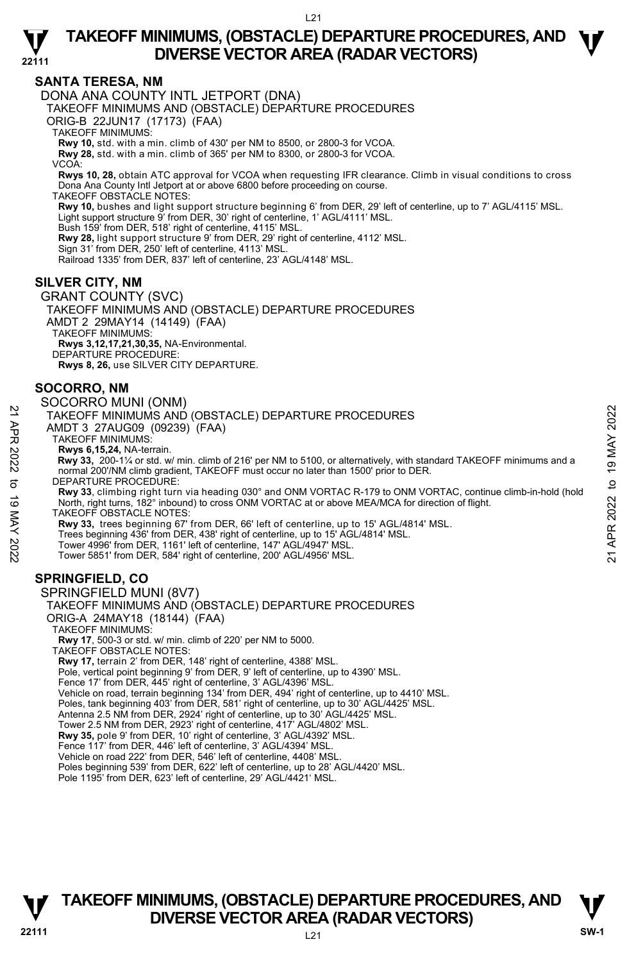

#### **SANTA TERESA, NM**

DONA ANA COUNTY INTL JETPORT (DNA)

TAKEOFF MINIMUMS AND (OBSTACLE) DEPARTURE PROCEDURES

ORIG-B 22JUN17 (17173) (FAA)

TAKEOFF MINIMUMS:

**Rwy 10,** std. with a min. climb of 430' per NM to 8500, or 2800-3 for VCOA. **Rwy 28,** std. with a min. climb of 365' per NM to 8300, or 2800-3 for VCOA.

VCOA:

**Rwys 10, 28,** obtain ATC approval for VCOA when requesting IFR clearance. Climb in visual conditions to cross Dona Ana County Intl Jetport at or above 6800 before proceeding on course.

TAKEOFF OBSTACLE NOTES:

**Rwy 10,** bushes and light support structure beginning 6' from DER, 29' left of centerline, up to 7' AGL/4115' MSL. Light support structure 9' from DER, 30' right of centerline, 1' AGL/4111' MSL. Bush 159' from DER, 518' right of centerline, 4115' MSL.

**Rwy 28,** light support structure 9' from DER, 29' right of centerline, 4112' MSL.

Sign 31' from DER, 250' left of centerline, 4113' MSL.

Railroad 1335' from DER, 837' left of centerline, 23' AGL/4148' MSL.

## **SILVER CITY, NM**

GRANT COUNTY (SVC) TAKEOFF MINIMUMS AND (OBSTACLE) DEPARTURE PROCEDURES AMDT 2 29MAY14 (14149) (FAA) TAKEOFF MINIMUMS: **Rwys 3,12,17,21,30,35,** NA-Environmental. DEPARTURE PROCEDURE: **Rwys 8, 26,** use SILVER CITY DEPARTURE.

### **SOCORRO, NM**

#### SOCORRO MUNI (ONM)

TAKEOFF MINIMUMS AND (OBSTACLE) DEPARTURE PROCEDURES

AMDT 3 27AUG09 (09239) (FAA)

TAKEOFF MINIMUMS:

# **Rwys 6,15,24,** NA-terrain.

 **Rwy 33,** 200-1¼ or std. w/ min. climb of 216' per NM to 5100, or alternatively, with standard TAKEOFF minimums and a normal 200'/NM climb gradient, TAKEOFF must occur no later than 1500' prior to DER. DEPARTURE PROCEDURE:

**Rwy 33**, climbing right turn via heading 030° and ONM VORTAC R-179 to ONM VORTAC, continue climb-in-hold (hold North, right turns, 182° inbound) to cross ONM VORTAC at or above MEA/MCA for direction of flight. TAKEOFF OBSTACLE NOTES: 21 TAKEOFF MINIMUMS AND (OBSTACLE) DEPARTURE PROCEDURES<br>
22 TAKEOFF MINIMUMS AND (OBSTACLE) DEPARTURE PROCEDURES<br>
22 TAKEOFF MINIMUMS AND (OBSTACLE) DEPARTURE PROCEDURES<br>
22 TAKEOFF MINIMUMS AND to 19 MAY 216<br>
22 TAWS 6,1

**Rwy 33,** trees beginning 67' from DER, 66' left of centerline, up to 15' AGL/4814' MSL.

Trees beginning 436' from DER, 438' right of centerline, up to 15' AGL/4814' MSL.

Tower 4996' from DER, 1161' left of centerline, 147' AGL/4947' MSL. Tower 5851' from DER, 584' right of centerline, 200' AGL/4956' MSL.

# **SPRINGFIELD, CO**

SPRINGFIELD MUNI (8V7) TAKEOFF MINIMUMS AND (OBSTACLE) DEPARTURE PROCEDURES ORIG-A 24MAY18 (18144) (FAA) TAKEOFF MINIMUMS: **Rwy 17**, 500-3 or std. w/ min. climb of 220' per NM to 5000. TAKEOFF OBSTACLE NOTES: **Rwy 17,** terrain 2' from DER, 148' right of centerline, 4388' MSL. Pole, vertical point beginning 9' from DER, 9' left of centerline, up to 4390' MSL. Fence 17' from DER, 445' right of centerline, 3' AGL/4396' MSL. Vehicle on road, terrain beginning 134' from DER, 494' right of centerline, up to 4410' MSL. Poles, tank beginning 403' from DER, 581' right of centerline, up to 30' AGL/4425' MSL. Antenna 2.5 NM from DER, 2924' right of centerline, up to 30' AGL/4425' MSL. Tower 2.5 NM from DER, 2923' right of centerline, 417' AGL/4802' MSL. **Rwy 35,** pole 9' from DER, 10' right of centerline, 3' AGL/4392' MSL. Fence 117' from DER, 446' left of centerline, 3' AGL/4394' MSL. Vehicle on road 222' from DER, 546' left of centerline, 4408' MSL. Poles beginning 539' from DER, 622' left of centerline, up to 28' AGL/4420' MSL. Pole 1195' from DER, 623' left of centerline, 29' AGL/4421' MSL.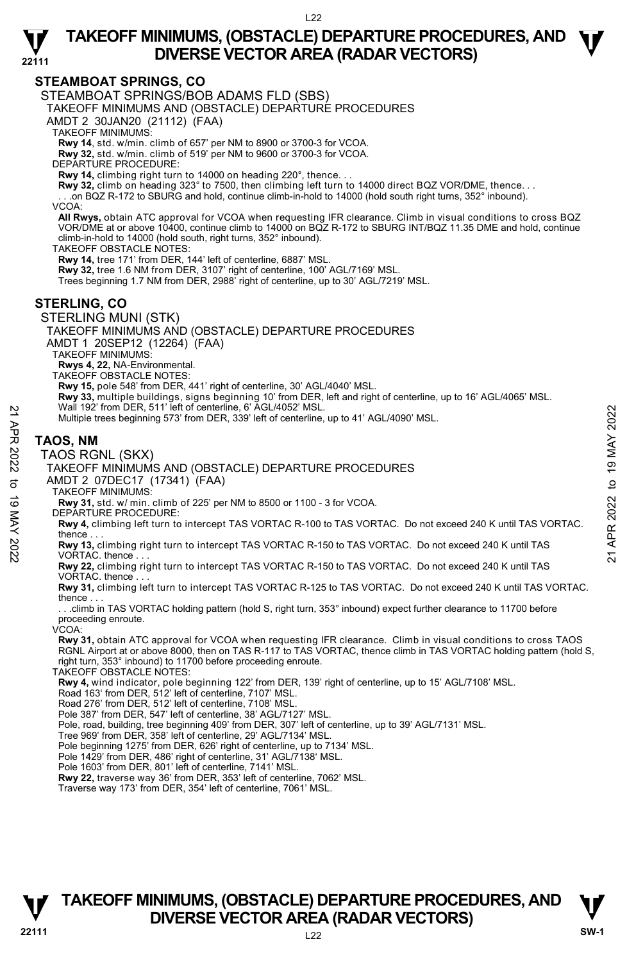

### **STEAMBOAT SPRINGS, CO**

STEAMBOAT SPRINGS/BOB ADAMS FLD (SBS)

TAKEOFF MINIMUMS AND (OBSTACLE) DEPARTURE PROCEDURES

AMDT 2 30JAN20 (21112) (FAA)

TAKEOFF MINIMUMS:

**Rwy 14**, std. w/min. climb of 657' per NM to 8900 or 3700-3 for VCOA. **Rwy 32,** std. w/min. climb of 519' per NM to 9600 or 3700-3 for VCOA.

DEPARTURE PROCEDURE:

**Rwy 14,** climbing right turn to 14000 on heading 220°, thence. . .

**Rwy 32,** climb on heading 323° to 7500, then climbing left turn to 14000 direct BQZ VOR/DME, thence. . .

. . .on BQZ R-172 to SBURG and hold, continue climb-in-hold to 14000 (hold south right turns, 352° inbound).

VCOA:

**All Rwys,** obtain ATC approval for VCOA when requesting IFR clearance. Climb in visual conditions to cross BQZ VOR/DME at or above 10400, continue climb to 14000 on BQZ R-172 to SBURG INT/BQZ 11.35 DME and hold, continue climb-in-hold to 14000 (hold south, right turns, 352° inbound).

TAKEOFF OBSTACLE NOTES:

**Rwy 14,** tree 171' from DER, 144' left of centerline, 6887' MSL.

**Rwy 32,** tree 1.6 NM from DER, 3107' right of centerline, 100' AGL/7169' MSL.

Trees beginning 1.7 NM from DER, 2988' right of centerline, up to 30' AGL/7219' MSL.

#### **STERLING, CO**

STERLING MUNI (STK)

TAKEOFF MINIMUMS AND (OBSTACLE) DEPARTURE PROCEDURES

AMDT 1 20SEP12 (12264) (FAA)

TAKEOFF MINIMUMS:

**Rwys 4, 22,** NA-Environmental. TAKEOFF OBSTACLE NOTES:

**Rwy 15,** pole 548' from DER, 441' right of centerline, 30' AGL/4040' MSL.

**Rwy 33,** multiple buildings, signs beginning 10' from DER, left and right of centerline, up to 16' AGL/4065' MSL.<br>Wall 192' from DER, 511' left of centerline, 6' AGL/4052' MSL.

Multiple trees beginning 573' from DER, 339' left of centerline, up to 41' AGL/4090' MSL.

#### **TAOS, NM**

TAOS RGNL (SKX)

TAKEOFF MINIMUMS AND (OBSTACLE) DEPARTURE PROCEDURES

AMDT 2 07DEC17 (17341) (FAA)

TAKEOFF MINIMUMS:

**Rwy 31,** std. w/ min. climb of 225' per NM to 8500 or 1100 - 3 for VCOA. DEPARTURE PROCEDURE:

**Rwy 4,** climbing left turn to intercept TAS VORTAC R-100 to TAS VORTAC. Do not exceed 240 K until TAS VORTAC. thence . . . Wall 192' from DER, 511' left of centerine, 6' AGL/4052' MSL.<br> **RADISHET MINIMUMS** AND (OBSTACLE) DEPARTURE PROCEDURES<br> **TAOS RGNL (SKX)**<br>
TAOS RGNL (SKX)<br>
TANEOFF MINIMUMS AND (OBSTACLE) DEPARTURE PROCEDURES<br>
AMDT 2 07DE

**Rwy 22,** climbing right turn to intercept TAS VORTAC R-150 to TAS VORTAC. Do not exceed 240 K until TAS VORTAC. thence

**Rwy 31,** climbing left turn to intercept TAS VORTAC R-125 to TAS VORTAC. Do not exceed 240 K until TAS VORTAC. thence

 . . .climb in TAS VORTAC holding pattern (hold S, right turn, 353° inbound) expect further clearance to 11700 before proceeding enroute.

VCOA:

**Rwy 31,** obtain ATC approval for VCOA when requesting IFR clearance. Climb in visual conditions to cross TAOS RGNL Airport at or above 8000, then on TAS R-117 to TAS VORTAC, thence climb in TAS VORTAC holding pattern (hold S, right turn, 353° inbound) to 11700 before proceeding enroute.

TAKEOFF OBSTACLE NOTES:

**Rwy 4,** wind indicator, pole beginning 122' from DER, 139' right of centerline, up to 15' AGL/7108' MSL. Road 163' from DER, 512' left of centerline, 7107' MSL.

Road 276' from DER, 512' left of centerline, 7108' MSL.

Pole 387' from DER, 547' left of centerline, 38' AGL/7127' MSL.

Pole, road, building, tree beginning 409' from DER, 307' left of centerline, up to 39' AGL/7131' MSL.<br>Tree 969' from DER, 358' left of centerline, 29' AGL/7134' MSL.

Pole beginning 1275' from DER, 626' right of centerline, up to 7134' MSL.

Pole 1429' from DER, 486' right of centerline, 31' AGL/7138' MSL. Pole 1603' from DER, 801' left of centerline, 7141' MSL.

**Rwy 22,** traverse way 36' from DER, 353' left of centerline, 7062' MSL.

Traverse way 173' from DER, 354' left of centerline, 7061' MSL.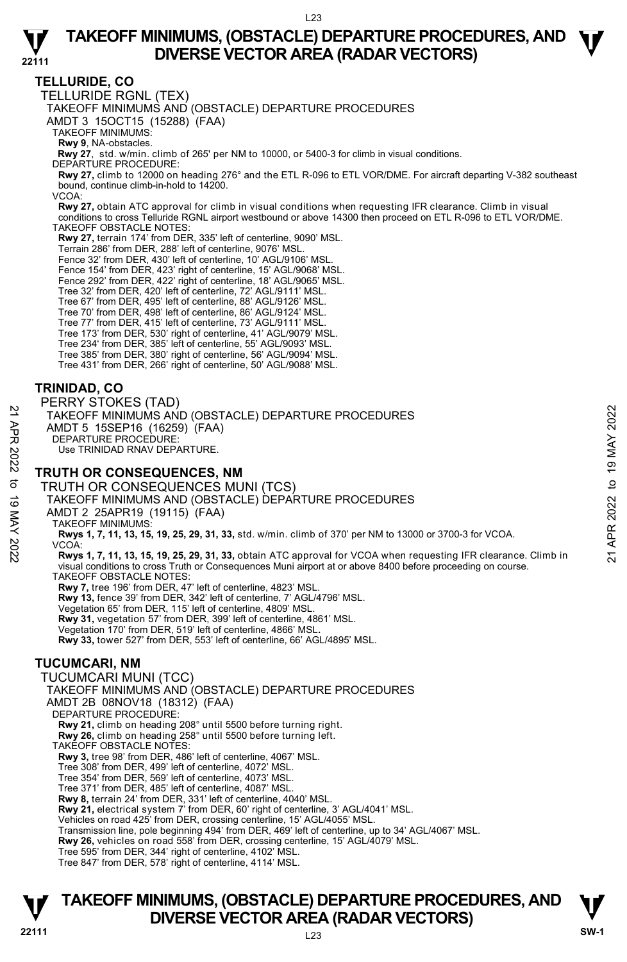

# **TELLURIDE, CO**

TELLURIDE RGNL (TEX) TAKEOFF MINIMUMS AND (OBSTACLE) DEPARTURE PROCEDURES AMDT 3 15OCT15 (15288) (FAA) TAKEOFF MINIMUMS: **Rwy 9**, NA-obstacles. **Rwy 27**, std. w/min. climb of 265' per NM to 10000, or 5400-3 for climb in visual conditions. DEPARTURE PROCEDURE: **Rwy 27,** climb to 12000 on heading 276° and the ETL R-096 to ETL VOR/DME. For aircraft departing V-382 southeast bound, continue climb-in-hold to 14200. VCOA: **Rwy 27,** obtain ATC approval for climb in visual conditions when requesting IFR clearance. Climb in visual conditions to cross Telluride RGNL airport westbound or above 14300 then proceed on ETL R-096 to ETL VOR/DME. TAKEOFF OBSTACLE NOTES: **Rwy 27,** terrain 174' from DER, 335' left of centerline, 9090' MSL. Terrain 286' from DER, 288' left of centerline, 9076' MSL. Fence 32' from DER, 430' left of centerline, 10' AGL/9106' MSL. Fence 154' from DER, 423' right of centerline, 15' AGL/9068' MSL. Fence 292' from DER, 422' right of centerline, 18' AGL/9065' MSL. Tree 32' from DER, 420' left of centerline, 72' AGL/9111' MSL. Tree 67' from DER, 495' left of centerline, 88' AGL/9126' MSL. Tree 70' from DER, 498' left of centerline, 86' AGL/9124' MSL. Tree 77' from DER, 415' left of centerline, 73' AGL/9111' MSL. Tree 173' from DER, 530' right of centerline, 41' AGL/9079' MSL. Tree 234' from DER, 385' left of centerline, 55' AGL/9093' MSL. Tree 385' from DER, 380' right of centerline, 56' AGL/9094' MSL. Tree 431' from DER, 266' right of centerline, 50' AGL/9088' MSL.

## **TRINIDAD, CO**

PERRY STOKES (TAD) TAKEOFF MINIMUMS AND (OBSTACLE) DEPARTURE PROCEDURES AMDT 5 15SEP16 (16259) (FAA) DEPARTURE PROCEDURE: Use TRINIDAD RNAV DEPARTURE. 21 TAKEOFF MINIMUMS AND (OBSTACLE) DEPARTURE PROCEDURES<br>
AMDT 5 15SEP16 (16259) (FAA)<br>
DEPARTURE PROCEDURE:<br>
22 DEPARTURE PROCEDURE:<br>
22 DEPARTURE PROCEDURE:<br>
23 TRUTH OR CONSEQUENCES, NM<br>
3 TRUTH OR CONSEQUENCES MUNI (TC

#### **TRUTH OR CONSEQUENCES, NM**

TRUTH OR CONSEQUENCES MUNI (TCS) TAKEOFF MINIMUMS AND (OBSTACLE) DEPARTURE PROCEDURES

AMDT 2 25APR19 (19115) (FAA)

TAKEOFF MINIMUMS:

**Rwys 1, 7, 11, 13, 15, 19, 25, 29, 31, 33,** std. w/min. climb of 370' per NM to 13000 or 3700-3 for VCOA. VCOA:

**Rwys 1, 7, 11, 13, 15, 19, 25, 29, 31, 33,** obtain ATC approval for VCOA when requesting IFR clearance. Climb in visual conditions to cross Truth or Consequences Muni airport at or above 8400 before proceeding on course. TAKEOFF OBSTACLE NOTES:

**Rwy 7,** tree 196' from DER, 47' left of centerline, 4823' MSL. **Rwy 13,** fence 39' from DER, 342' left of centerline, 7' AGL/4796' MSL. Vegetation 65' from DER, 115' left of centerline, 4809' MSL. **Rwy 31,** vegetation 57' from DER, 399' left of centerline, 4861' MSL. Vegetation 170' from DER, 519' left of centerline, 4866' MSL**. Rwy 33,** tower 527' from DER, 553' left of centerline, 66' AGL/4895' MSL.

# **TUCUMCARI, NM**

TUCUMCARI MUNI (TCC) TAKEOFF MINIMUMS AND (OBSTACLE) DEPARTURE PROCEDURES AMDT 2B 08NOV18 (18312) (FAA) DEPARTURE PROCEDURE: **Rwy 21,** climb on heading 208° until 5500 before turning right. **Rwy 26,** climb on heading 258° until 5500 before turning left. TAKEOFF OBSTACLE NOTES: **Rwy 3,** tree 98' from DER, 486' left of centerline, 4067' MSL. Tree 308' from DER, 499' left of centerline, 4072' MSL. Tree 354' from DER, 569' left of centerline, 4073' MSL. Tree 371' from DER, 485' left of centerline, 4087' MSL. **Rwy 8,** terrain 24' from DER, 331' left of centerline, 4040' MSL.<br>**Rwy 21,** electrical system 7' from DER, 60' right of centerline, 3' AGL/4041' MSL. Vehicles on road 425' from DER, crossing centerline, 15' AGL/4055' MSL. Transmission line, pole beginning 494' from DER, 469' left of centerline, up to 34' AGL/4067' MSL.<br>**Rwy 26,** vehicles on road 558' from DER, crossing centerline, 15' AGL/4079' MSL. Tree 595' from DER, 344' right of centerline, 4102' MSL.

Tree 847' from DER, 578' right of centerline, 4114' MSL.